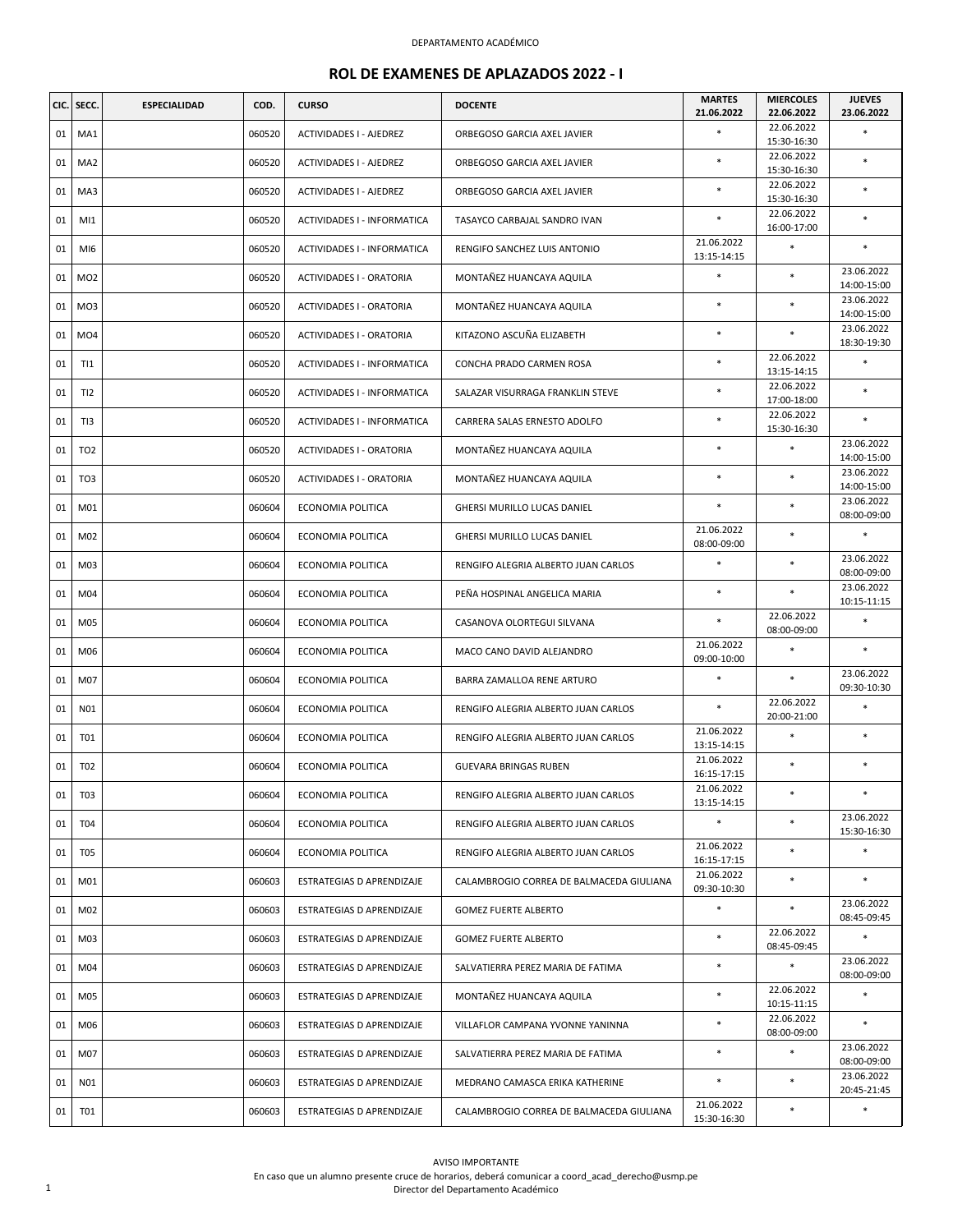|    | CIC. SECC.      | <b>ESPECIALIDAD</b> | COD.   | <b>CURSO</b>                | <b>DOCENTE</b>                           | <b>MARTES</b><br>21.06.2022 | <b>MIERCOLES</b><br>22.06.2022 | <b>JUEVES</b><br>23.06.2022 |
|----|-----------------|---------------------|--------|-----------------------------|------------------------------------------|-----------------------------|--------------------------------|-----------------------------|
| 01 | MA1             |                     | 060520 | ACTIVIDADES I - AJEDREZ     | ORBEGOSO GARCIA AXEL JAVIER              | $\ast$                      | 22.06.2022<br>15:30-16:30      |                             |
| 01 | MA <sub>2</sub> |                     | 060520 | ACTIVIDADES I - AJEDREZ     | ORBEGOSO GARCIA AXEL JAVIER              | $\ast$                      | 22.06.2022<br>15:30-16:30      | $\ast$                      |
| 01 | MA3             |                     | 060520 | ACTIVIDADES I - AJEDREZ     | ORBEGOSO GARCIA AXEL JAVIER              | $\ast$                      | 22.06.2022<br>15:30-16:30      | $\ast$                      |
| 01 | MI1             |                     | 060520 | ACTIVIDADES I - INFORMATICA | TASAYCO CARBAJAL SANDRO IVAN             |                             | 22.06.2022<br>16:00-17:00      | *                           |
| 01 | MI6             |                     | 060520 | ACTIVIDADES I - INFORMATICA | RENGIFO SANCHEZ LUIS ANTONIO             | 21.06.2022<br>13:15-14:15   | $\ast$                         | $\ast$                      |
| 01 | MO <sub>2</sub> |                     | 060520 | ACTIVIDADES I - ORATORIA    | MONTAÑEZ HUANCAYA AQUILA                 | $\ast$                      | $\ast$                         | 23.06.2022<br>14:00-15:00   |
| 01 | MO <sub>3</sub> |                     | 060520 | ACTIVIDADES I - ORATORIA    | MONTAÑEZ HUANCAYA AQUILA                 | *                           | $\ast$                         | 23.06.2022<br>14:00-15:00   |
| 01 | MO <sub>4</sub> |                     | 060520 | ACTIVIDADES I - ORATORIA    | KITAZONO ASCUÑA ELIZABETH                | $\ast$                      | $\ast$                         | 23.06.2022<br>18:30-19:30   |
| 01 | T11             |                     | 060520 | ACTIVIDADES I - INFORMATICA | CONCHA PRADO CARMEN ROSA                 | *                           | 22.06.2022<br>13:15-14:15      | *                           |
| 01 | TI2             |                     | 060520 | ACTIVIDADES I - INFORMATICA | SALAZAR VISURRAGA FRANKLIN STEVE         | *                           | 22.06.2022<br>17:00-18:00      | ×                           |
| 01 | TI3             |                     | 060520 | ACTIVIDADES I - INFORMATICA | CARRERA SALAS ERNESTO ADOLFO             | $\ast$                      | 22.06.2022<br>15:30-16:30      | $\ast$                      |
| 01 | TO <sub>2</sub> |                     | 060520 | ACTIVIDADES I - ORATORIA    | MONTAÑEZ HUANCAYA AQUILA                 | $\ast$                      | $\ast$                         | 23.06.2022<br>14:00-15:00   |
| 01 | TO <sub>3</sub> |                     | 060520 | ACTIVIDADES I - ORATORIA    | MONTAÑEZ HUANCAYA AQUILA                 | *                           | $\ast$                         | 23.06.2022<br>14:00-15:00   |
| 01 | M01             |                     | 060604 | ECONOMIA POLITICA           | GHERSI MURILLO LUCAS DANIEL              | $\ast$                      | $\ast$                         | 23.06.2022<br>08:00-09:00   |
| 01 | M02             |                     | 060604 | ECONOMIA POLITICA           | GHERSI MURILLO LUCAS DANIEL              | 21.06.2022<br>08:00-09:00   | $\ast$                         | *                           |
| 01 | M03             |                     | 060604 | ECONOMIA POLITICA           | RENGIFO ALEGRIA ALBERTO JUAN CARLOS      | $\ast$                      | $\ast$                         | 23.06.2022<br>08:00-09:00   |
| 01 | M04             |                     | 060604 | ECONOMIA POLITICA           | PEÑA HOSPINAL ANGELICA MARIA             | $\ast$                      | $\ast$                         | 23.06.2022<br>10:15-11:15   |
| 01 | M05             |                     | 060604 | ECONOMIA POLITICA           | CASANOVA OLORTEGUI SILVANA               | $\ast$                      | 22.06.2022<br>08:00-09:00      | *                           |
| 01 | M06             |                     | 060604 | ECONOMIA POLITICA           | MACO CANO DAVID ALEJANDRO                | 21.06.2022<br>09:00-10:00   | $\ast$                         | $\ast$                      |
| 01 | M07             |                     | 060604 | ECONOMIA POLITICA           | BARRA ZAMALLOA RENE ARTURO               | $\ast$                      | $\ast$                         | 23.06.2022<br>09:30-10:30   |
| 01 | N01             |                     | 060604 | ECONOMIA POLITICA           | RENGIFO ALEGRIA ALBERTO JUAN CARLOS      | $\ast$                      | 22.06.2022<br>20:00-21:00      | $\ast$                      |
| 01 | T01             |                     | 060604 | ECONOMIA POLITICA           | RENGIFO ALEGRIA ALBERTO JUAN CARLOS      | 21.06.2022<br>13:15-14:15   | $\ast$                         | *                           |
| 01 | T02             |                     | 060604 | ECONOMIA POLITICA           | <b>GUEVARA BRINGAS RUBEN</b>             | 21.06.2022<br>16:15-17:15   | $\ast$                         | $\ast$                      |
| 01 | T03             |                     | 060604 | ECONOMIA POLITICA           | RENGIFO ALEGRIA ALBERTO JUAN CARLOS      | 21.06.2022<br>13:15-14:15   | *                              | $\ast$                      |
| 01 | T04             |                     | 060604 | ECONOMIA POLITICA           | RENGIFO ALEGRIA ALBERTO JUAN CARLOS      | $\ast$                      | $\ast$                         | 23.06.2022<br>15:30-16:30   |
| 01 | T05             |                     | 060604 | ECONOMIA POLITICA           | RENGIFO ALEGRIA ALBERTO JUAN CARLOS      | 21.06.2022<br>16:15-17:15   | $\ast$                         | *                           |
| 01 | M01             |                     | 060603 | ESTRATEGIAS D APRENDIZAJE   | CALAMBROGIO CORREA DE BALMACEDA GIULIANA | 21.06.2022<br>09:30-10:30   | $\ast$                         | *                           |
| 01 | M02             |                     | 060603 | ESTRATEGIAS D APRENDIZAJE   | <b>GOMEZ FUERTE ALBERTO</b>              | $\ast$                      | $\ast$                         | 23.06.2022<br>08:45-09:45   |
| 01 | M03             |                     | 060603 | ESTRATEGIAS D APRENDIZAJE   | <b>GOMEZ FUERTE ALBERTO</b>              | $\ast$                      | 22.06.2022<br>08:45-09:45      |                             |
| 01 | M04             |                     | 060603 | ESTRATEGIAS D APRENDIZAJE   | SALVATIERRA PEREZ MARIA DE FATIMA        | $\ast$                      | $\ast$                         | 23.06.2022<br>08:00-09:00   |
| 01 | M05             |                     | 060603 | ESTRATEGIAS D APRENDIZAJE   | MONTAÑEZ HUANCAYA AQUILA                 | $\ast$                      | 22.06.2022<br>10:15-11:15      | *                           |
| 01 | M06             |                     | 060603 | ESTRATEGIAS D APRENDIZAJE   | VILLAFLOR CAMPANA YVONNE YANINNA         | $\ast$                      | 22.06.2022<br>08:00-09:00      | *                           |
| 01 | M07             |                     | 060603 | ESTRATEGIAS D APRENDIZAJE   | SALVATIERRA PEREZ MARIA DE FATIMA        | $\ast$                      | $\ast$                         | 23.06.2022<br>08:00-09:00   |
| 01 | N01             |                     | 060603 | ESTRATEGIAS D APRENDIZAJE   | MEDRANO CAMASCA ERIKA KATHERINE          | $\ast$                      | $\ast$                         | 23.06.2022<br>20:45-21:45   |
| 01 | T01             |                     | 060603 | ESTRATEGIAS D APRENDIZAJE   | CALAMBROGIO CORREA DE BALMACEDA GIULIANA | 21.06.2022<br>15:30-16:30   | $\ast$                         | *                           |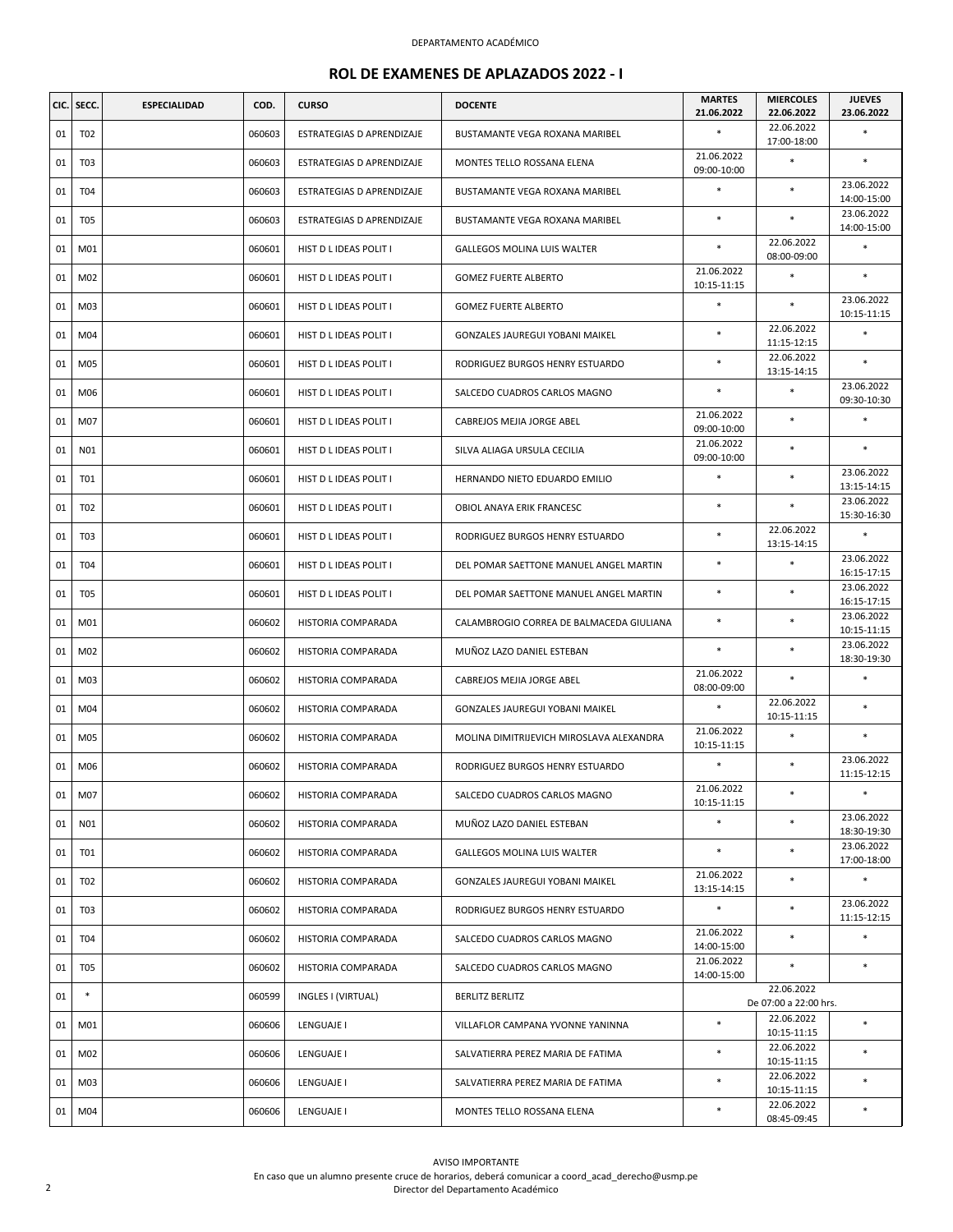| CIC. | SECC.           | <b>ESPECIALIDAD</b> | COD.   | <b>CURSO</b>              | <b>DOCENTE</b>                           | <b>MARTES</b><br>21.06.2022 | <b>MIERCOLES</b><br>22.06.2022      | <b>JUEVES</b><br>23.06.2022 |
|------|-----------------|---------------------|--------|---------------------------|------------------------------------------|-----------------------------|-------------------------------------|-----------------------------|
| 01   | T02             |                     | 060603 | ESTRATEGIAS D APRENDIZAJE | <b>BUSTAMANTE VEGA ROXANA MARIBEL</b>    | $\ast$                      | 22.06.2022<br>17:00-18:00           | ×                           |
| 01   | T <sub>03</sub> |                     | 060603 | ESTRATEGIAS D APRENDIZAJE | MONTES TELLO ROSSANA ELENA               | 21.06.2022<br>09:00-10:00   |                                     | $\ast$                      |
| 01   | T04             |                     | 060603 | ESTRATEGIAS D APRENDIZAJE | BUSTAMANTE VEGA ROXANA MARIBEL           | $\ast$                      | $\ast$                              | 23.06.2022<br>14:00-15:00   |
| 01   | <b>T05</b>      |                     | 060603 | ESTRATEGIAS D APRENDIZAJE | BUSTAMANTE VEGA ROXANA MARIBEL           | $\ast$                      | $\ast$                              | 23.06.2022<br>14:00-15:00   |
| 01   | M01             |                     | 060601 | HIST D L IDEAS POLIT I    | <b>GALLEGOS MOLINA LUIS WALTER</b>       | $\ast$                      | 22.06.2022<br>08:00-09:00           | $\ast$                      |
| 01   | M02             |                     | 060601 | HIST D L IDEAS POLIT I    | <b>GOMEZ FUERTE ALBERTO</b>              | 21.06.2022<br>10:15-11:15   | $\ast$                              | *                           |
| 01   | M03             |                     | 060601 | HIST D L IDEAS POLIT I    | <b>GOMEZ FUERTE ALBERTO</b>              | $\ast$                      | $\ast$                              | 23.06.2022<br>10:15-11:15   |
| 01   | M04             |                     | 060601 | HIST D L IDEAS POLIT I    | GONZALES JAUREGUI YOBANI MAIKEL          | $\ast$                      | 22.06.2022<br>11:15-12:15           | $\ast$                      |
| 01   | M05             |                     | 060601 | HIST D L IDEAS POLIT I    | RODRIGUEZ BURGOS HENRY ESTUARDO          | $\ast$                      | 22.06.2022<br>13:15-14:15           | ×                           |
| 01   | M06             |                     | 060601 | HIST D L IDEAS POLIT I    | SALCEDO CUADROS CARLOS MAGNO             | $\ast$                      | $\ast$                              | 23.06.2022<br>09:30-10:30   |
| 01   | M07             |                     | 060601 | HIST D L IDEAS POLIT I    | CABREJOS MEJIA JORGE ABEL                | 21.06.2022<br>09:00-10:00   | $\ast$                              | ×                           |
| 01   | N01             |                     | 060601 | HIST D L IDEAS POLIT I    | SILVA ALIAGA URSULA CECILIA              | 21.06.2022<br>09:00-10:00   | $\ast$                              | $\ast$                      |
| 01   | T01             |                     | 060601 | HIST D L IDEAS POLIT I    | HERNANDO NIETO EDUARDO EMILIO            | $\ast$                      | $\ast$                              | 23.06.2022<br>13:15-14:15   |
| 01   | T02             |                     | 060601 | HIST D L IDEAS POLIT I    | OBIOL ANAYA ERIK FRANCESC                | $\ast$                      | $\ast$                              | 23.06.2022<br>15:30-16:30   |
| 01   | T <sub>03</sub> |                     | 060601 | HIST D L IDEAS POLIT I    | RODRIGUEZ BURGOS HENRY ESTUARDO          | $\ast$                      | 22.06.2022<br>13:15-14:15           | *                           |
| 01   | T04             |                     | 060601 | HIST D L IDEAS POLIT I    | DEL POMAR SAETTONE MANUEL ANGEL MARTIN   | $\ast$                      | $\ast$                              | 23.06.2022<br>16:15-17:15   |
| 01   | <b>T05</b>      |                     | 060601 | HIST D L IDEAS POLIT I    | DEL POMAR SAETTONE MANUEL ANGEL MARTIN   | $\ast$                      | $\ast$                              | 23.06.2022<br>16:15-17:15   |
| 01   | M01             |                     | 060602 | HISTORIA COMPARADA        | CALAMBROGIO CORREA DE BALMACEDA GIULIANA | $\ast$                      | $\ast$                              | 23.06.2022<br>10:15-11:15   |
| 01   | M02             |                     | 060602 | HISTORIA COMPARADA        | MUÑOZ LAZO DANIEL ESTEBAN                | $\ast$                      | $\ast$                              | 23.06.2022<br>18:30-19:30   |
| 01   | M03             |                     | 060602 | HISTORIA COMPARADA        | CABREJOS MEJIA JORGE ABEL                | 21.06.2022<br>08:00-09:00   | $\ast$                              | $\ast$                      |
| 01   | M04             |                     | 060602 | HISTORIA COMPARADA        | GONZALES JAUREGUI YOBANI MAIKEL          | $\ast$                      | 22.06.2022<br>10:15-11:15           | *                           |
| 01   | M05             |                     | 060602 | HISTORIA COMPARADA        | MOLINA DIMITRIJEVICH MIROSLAVA ALEXANDRA | 21.06.2022<br>10:15-11:15   | $\ast$                              | ×                           |
| 01   | M06             |                     | 060602 | HISTORIA COMPARADA        | RODRIGUEZ BURGOS HENRY ESTUARDO          | $\ast$                      | $\ast$                              | 23.06.2022<br>11:15-12:15   |
| 01   | M07             |                     | 060602 | HISTORIA COMPARADA        | SALCEDO CUADROS CARLOS MAGNO             | 21.06.2022<br>10:15-11:15   | $\ast$                              | $\ast$                      |
| 01   | N01             |                     | 060602 | HISTORIA COMPARADA        | MUÑOZ LAZO DANIEL ESTEBAN                | $\ast$                      | $\ast$                              | 23.06.2022<br>18:30-19:30   |
| 01   | T01             |                     | 060602 | HISTORIA COMPARADA        | GALLEGOS MOLINA LUIS WALTER              | $\ast$                      | $\ast$                              | 23.06.2022<br>17:00-18:00   |
| 01   | T02             |                     | 060602 | HISTORIA COMPARADA        | GONZALES JAUREGUI YOBANI MAIKEL          | 21.06.2022<br>13:15-14:15   | $\ast$                              | *                           |
| 01   | T03             |                     | 060602 | HISTORIA COMPARADA        | RODRIGUEZ BURGOS HENRY ESTUARDO          | $\ast$                      | $\ast$                              | 23.06.2022<br>11:15-12:15   |
| 01   | T04             |                     | 060602 | HISTORIA COMPARADA        | SALCEDO CUADROS CARLOS MAGNO             | 21.06.2022<br>14:00-15:00   | $\ast$                              | *                           |
| 01   | T05             |                     | 060602 | HISTORIA COMPARADA        | SALCEDO CUADROS CARLOS MAGNO             | 21.06.2022<br>14:00-15:00   | $\ast$                              | $\ast$                      |
| 01   |                 |                     | 060599 | INGLES I (VIRTUAL)        | BERLITZ BERLITZ                          |                             | 22.06.2022<br>De 07:00 a 22:00 hrs. |                             |
| 01   | M01             |                     | 060606 | LENGUAJE I                | VILLAFLOR CAMPANA YVONNE YANINNA         | $\ast$                      | 22.06.2022<br>10:15-11:15           | $\ast$                      |
| 01   | M02             |                     | 060606 | LENGUAJE I                | SALVATIERRA PEREZ MARIA DE FATIMA        | $\ast$                      | 22.06.2022<br>10:15-11:15           | $\ast$                      |
| 01   | M03             |                     | 060606 | LENGUAJE I                | SALVATIERRA PEREZ MARIA DE FATIMA        | *                           | 22.06.2022<br>10:15-11:15           | $\ast$                      |
| 01   | M04             |                     | 060606 | LENGUAJE I                | MONTES TELLO ROSSANA ELENA               |                             | 22.06.2022<br>08:45-09:45           | *                           |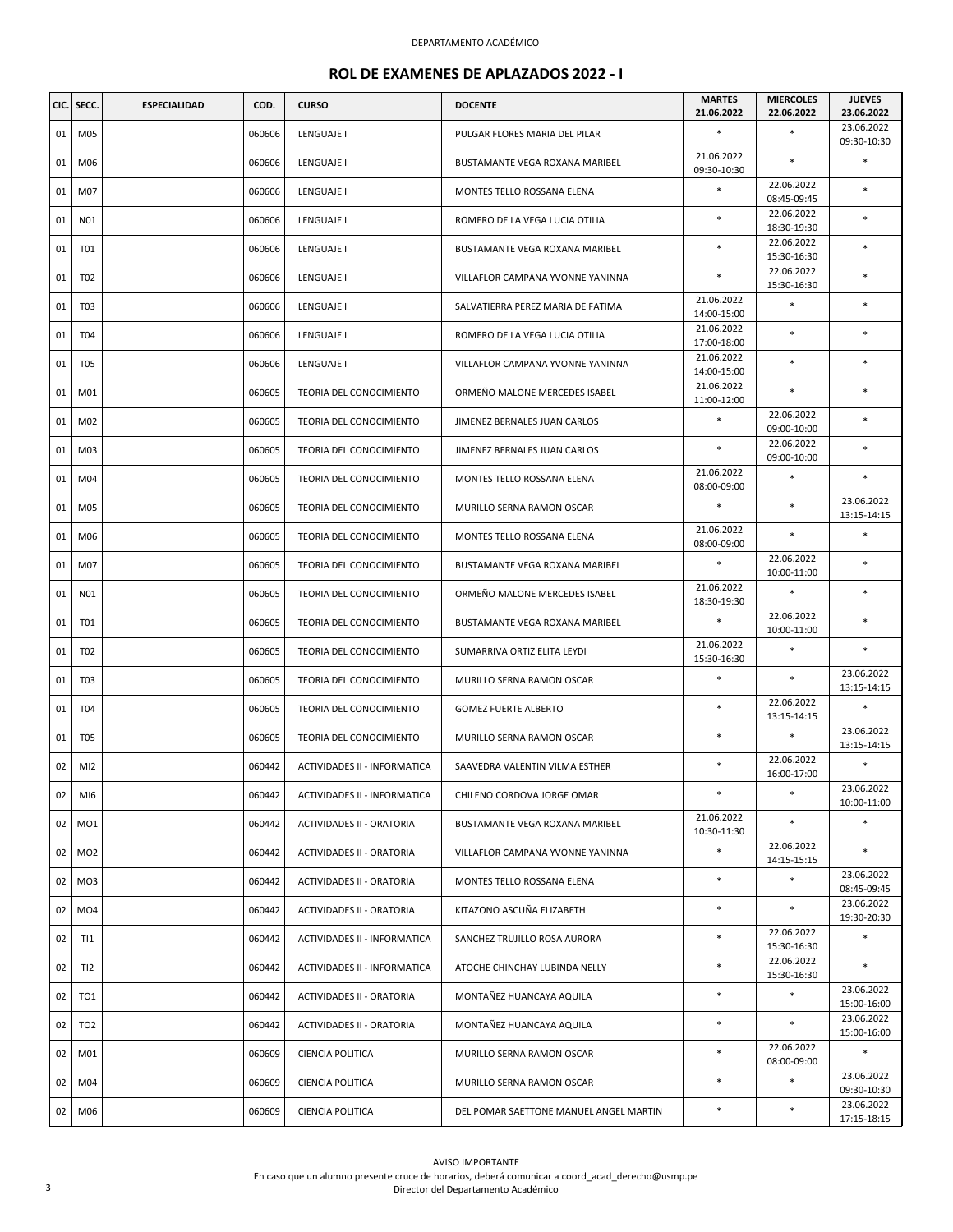| CIC. | SECC.           | <b>ESPECIALIDAD</b> | COD.   | <b>CURSO</b>                     | <b>DOCENTE</b>                         | <b>MARTES</b>             | <b>MIERCOLES</b>          | <b>JUEVES</b>                           |
|------|-----------------|---------------------|--------|----------------------------------|----------------------------------------|---------------------------|---------------------------|-----------------------------------------|
| 01   | M05             |                     | 060606 | LENGUAJE I                       | PULGAR FLORES MARIA DEL PILAR          | 21.06.2022<br>$\ast$      | 22.06.2022<br>$\ast$      | 23.06.2022<br>23.06.2022<br>09:30-10:30 |
| 01   | M06             |                     | 060606 | LENGUAJE I                       | BUSTAMANTE VEGA ROXANA MARIBEL         | 21.06.2022<br>09:30-10:30 | $\ast$                    | *                                       |
| 01   | M07             |                     | 060606 | LENGUAJE I                       | MONTES TELLO ROSSANA ELENA             | $\ast$                    | 22.06.2022<br>08:45-09:45 | *                                       |
| 01   | N01             |                     | 060606 | LENGUAJE I                       | ROMERO DE LA VEGA LUCIA OTILIA         | $\ast$                    | 22.06.2022<br>18:30-19:30 | $\ast$                                  |
| 01   | <b>T01</b>      |                     | 060606 | LENGUAJE I                       | BUSTAMANTE VEGA ROXANA MARIBEL         | $\ast$                    | 22.06.2022<br>15:30-16:30 | $\ast$                                  |
| 01   | T <sub>02</sub> |                     | 060606 | LENGUAJE I                       | VILLAFLOR CAMPANA YVONNE YANINNA       | $\ast$                    | 22.06.2022<br>15:30-16:30 | *                                       |
| 01   | T <sub>03</sub> |                     | 060606 | LENGUAJE I                       | SALVATIERRA PEREZ MARIA DE FATIMA      | 21.06.2022<br>14:00-15:00 | $\ast$                    | *                                       |
| 01   | T04             |                     | 060606 | LENGUAJE I                       | ROMERO DE LA VEGA LUCIA OTILIA         | 21.06.2022<br>17:00-18:00 | $\ast$                    | $\ast$                                  |
| 01   | T <sub>05</sub> |                     | 060606 | LENGUAJE I                       | VILLAFLOR CAMPANA YVONNE YANINNA       | 21.06.2022<br>14:00-15:00 | $\ast$                    | *                                       |
| 01   | M01             |                     | 060605 | TEORIA DEL CONOCIMIENTO          | ORMEÑO MALONE MERCEDES ISABEL          | 21.06.2022<br>11:00-12:00 | $\ast$                    | $\ast$                                  |
| 01   | M02             |                     | 060605 | TEORIA DEL CONOCIMIENTO          | JIMENEZ BERNALES JUAN CARLOS           | $\ast$                    | 22.06.2022<br>09:00-10:00 | $\ast$                                  |
| 01   | M03             |                     | 060605 | TEORIA DEL CONOCIMIENTO          | JIMENEZ BERNALES JUAN CARLOS           | $\ast$                    | 22.06.2022<br>09:00-10:00 | $\ast$                                  |
| 01   | M04             |                     | 060605 | TEORIA DEL CONOCIMIENTO          | MONTES TELLO ROSSANA ELENA             | 21.06.2022<br>08:00-09:00 | $\ast$                    | $\ast$                                  |
| 01   | M05             |                     | 060605 | TEORIA DEL CONOCIMIENTO          | MURILLO SERNA RAMON OSCAR              | $\ast$                    | $\ast$                    | 23.06.2022<br>13:15-14:15               |
| 01   | M06             |                     | 060605 | TEORIA DEL CONOCIMIENTO          | MONTES TELLO ROSSANA ELENA             | 21.06.2022<br>08:00-09:00 | $\ast$                    | *                                       |
| 01   | M07             |                     | 060605 | TEORIA DEL CONOCIMIENTO          | BUSTAMANTE VEGA ROXANA MARIBEL         | $\ast$                    | 22.06.2022<br>10:00-11:00 | *                                       |
| 01   | N01             |                     | 060605 | TEORIA DEL CONOCIMIENTO          | ORMEÑO MALONE MERCEDES ISABEL          | 21.06.2022<br>18:30-19:30 | $\ast$                    | $\ast$                                  |
| 01   | T01             |                     | 060605 | TEORIA DEL CONOCIMIENTO          | BUSTAMANTE VEGA ROXANA MARIBEL         | $\ast$                    | 22.06.2022<br>10:00-11:00 | $\ast$                                  |
| 01   | T <sub>02</sub> |                     | 060605 | TEORIA DEL CONOCIMIENTO          | SUMARRIVA ORTIZ ELITA LEYDI            | 21.06.2022<br>15:30-16:30 | $\ast$                    | *                                       |
| 01   | T <sub>03</sub> |                     | 060605 | TEORIA DEL CONOCIMIENTO          | MURILLO SERNA RAMON OSCAR              | $\ast$                    |                           | 23.06.2022<br>13:15-14:15               |
| 01   | T04             |                     | 060605 | TEORIA DEL CONOCIMIENTO          | <b>GOMEZ FUERTE ALBERTO</b>            | $\ast$                    | 22.06.2022<br>13:15-14:15 | $\ast$                                  |
| 01   | T <sub>05</sub> |                     | 060605 | TEORIA DEL CONOCIMIENTO          | MURILLO SERNA RAMON OSCAR              | *                         | $\ast$                    | 23.06.2022<br>13:15-14:15               |
| 02   | MI <sub>2</sub> |                     | 060442 | ACTIVIDADES II - INFORMATICA     | SAAVEDRA VALENTIN VILMA ESTHER         | $\ast$                    | 22.06.2022<br>16:00-17:00 | $\ast$                                  |
| 02   | MI6             |                     | 060442 | ACTIVIDADES II - INFORMATICA     | CHILENO CORDOVA JORGE OMAR             | $\ast$                    | $\ast$                    | 23.06.2022<br>10:00-11:00               |
| 02   | MO1             |                     | 060442 | ACTIVIDADES II - ORATORIA        | BUSTAMANTE VEGA ROXANA MARIBEL         | 21.06.2022<br>10:30-11:30 | $\ast$                    | *                                       |
| 02   | MO <sub>2</sub> |                     | 060442 | <b>ACTIVIDADES II - ORATORIA</b> | VILLAFLOR CAMPANA YVONNE YANINNA       | $\ast$                    | 22.06.2022<br>14:15-15:15 | $\ast$                                  |
| 02   | MO3             |                     | 060442 | ACTIVIDADES II - ORATORIA        | MONTES TELLO ROSSANA ELENA             | $\ast$                    | $\ast$                    | 23.06.2022<br>08:45-09:45               |
| 02   | MO <sub>4</sub> |                     | 060442 | ACTIVIDADES II - ORATORIA        | KITAZONO ASCUÑA ELIZABETH              | $\ast$                    | $\ast$                    | 23.06.2022<br>19:30-20:30               |
| 02   | T11             |                     | 060442 | ACTIVIDADES II - INFORMATICA     | SANCHEZ TRUJILLO ROSA AURORA           | $\ast$                    | 22.06.2022<br>15:30-16:30 | *                                       |
| 02   | TI2             |                     | 060442 | ACTIVIDADES II - INFORMATICA     | ATOCHE CHINCHAY LUBINDA NELLY          | $\ast$                    | 22.06.2022<br>15:30-16:30 | *                                       |
| 02   | TO1             |                     | 060442 | ACTIVIDADES II - ORATORIA        | MONTAÑEZ HUANCAYA AQUILA               | $\ast$                    | $\ast$                    | 23.06.2022<br>15:00-16:00               |
| 02   | TO <sub>2</sub> |                     | 060442 | ACTIVIDADES II - ORATORIA        | MONTAÑEZ HUANCAYA AQUILA               | $\ast$                    | $\ast$                    | 23.06.2022<br>15:00-16:00               |
| 02   | M01             |                     | 060609 | <b>CIENCIA POLITICA</b>          | MURILLO SERNA RAMON OSCAR              | $\ast$                    | 22.06.2022<br>08:00-09:00 | $\ast$                                  |
| 02   | M04             |                     | 060609 | CIENCIA POLITICA                 | MURILLO SERNA RAMON OSCAR              | *                         | $\ast$                    | 23.06.2022<br>09:30-10:30               |
| 02   | M06             |                     | 060609 | CIENCIA POLITICA                 | DEL POMAR SAETTONE MANUEL ANGEL MARTIN | *                         |                           | 23.06.2022<br>17:15-18:15               |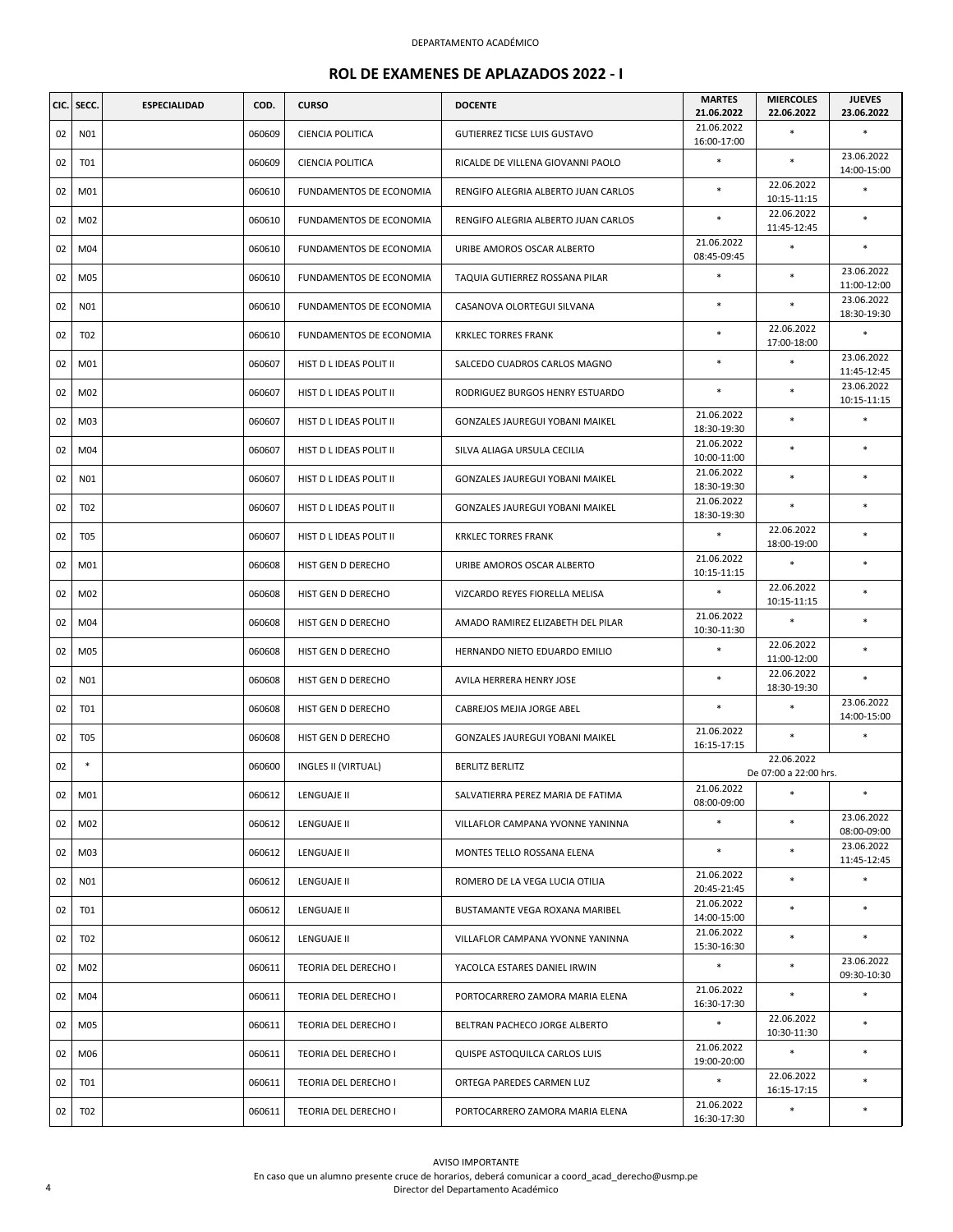|    | CIC. SECC.      | <b>ESPECIALIDAD</b> | COD.   | <b>CURSO</b>            | <b>DOCENTE</b>                         | <b>MARTES</b><br>21.06.2022 | <b>MIERCOLES</b><br>22.06.2022      | <b>JUEVES</b><br>23.06.2022 |
|----|-----------------|---------------------|--------|-------------------------|----------------------------------------|-----------------------------|-------------------------------------|-----------------------------|
| 02 | N01             |                     | 060609 | CIENCIA POLITICA        | <b>GUTIERREZ TICSE LUIS GUSTAVO</b>    | 21.06.2022<br>16:00-17:00   |                                     |                             |
| 02 | T01             |                     | 060609 | CIENCIA POLITICA        | RICALDE DE VILLENA GIOVANNI PAOLO      | $\ast$                      | $\ast$                              | 23.06.2022<br>14:00-15:00   |
| 02 | M01             |                     | 060610 | FUNDAMENTOS DE ECONOMIA | RENGIFO ALEGRIA ALBERTO JUAN CARLOS    | $\ast$                      | 22.06.2022<br>10:15-11:15           | $\ast$                      |
| 02 | M02             |                     | 060610 | FUNDAMENTOS DE ECONOMIA | RENGIFO ALEGRIA ALBERTO JUAN CARLOS    | $\ast$                      | 22.06.2022<br>11:45-12:45           | $\ast$                      |
| 02 | M04             |                     | 060610 | FUNDAMENTOS DE ECONOMIA | URIBE AMOROS OSCAR ALBERTO             | 21.06.2022<br>08:45-09:45   | $\ast$                              | $\ast$                      |
| 02 | M05             |                     | 060610 | FUNDAMENTOS DE ECONOMIA | TAQUIA GUTIERREZ ROSSANA PILAR         | $\ast$                      | $\ast$                              | 23.06.2022<br>11:00-12:00   |
| 02 | N01             |                     | 060610 | FUNDAMENTOS DE ECONOMIA | CASANOVA OLORTEGUI SILVANA             | $\ast$                      | $\ast$                              | 23.06.2022<br>18:30-19:30   |
| 02 | T <sub>02</sub> |                     | 060610 | FUNDAMENTOS DE ECONOMIA | <b>KRKLEC TORRES FRANK</b>             | $\ast$                      | 22.06.2022<br>17:00-18:00           | $\ast$                      |
| 02 | M01             |                     | 060607 | HIST D L IDEAS POLIT II | SALCEDO CUADROS CARLOS MAGNO           | $\ast$                      | $\ast$                              | 23.06.2022<br>11:45-12:45   |
| 02 | M02             |                     | 060607 | HIST D L IDEAS POLIT II | RODRIGUEZ BURGOS HENRY ESTUARDO        |                             | $\ast$                              | 23.06.2022<br>10:15-11:15   |
| 02 | M03             |                     | 060607 | HIST D L IDEAS POLIT II | <b>GONZALES JAUREGUI YOBANI MAIKEL</b> | 21.06.2022<br>18:30-19:30   | $\ast$                              |                             |
| 02 | M04             |                     | 060607 | HIST D L IDEAS POLIT II | SILVA ALIAGA URSULA CECILIA            | 21.06.2022<br>10:00-11:00   | $\ast$                              | $\ast$                      |
| 02 | N01             |                     | 060607 | HIST D L IDEAS POLIT II | GONZALES JAUREGUI YOBANI MAIKEL        | 21.06.2022<br>18:30-19:30   | $\ast$                              | $\ast$                      |
| 02 | T <sub>02</sub> |                     | 060607 | HIST D L IDEAS POLIT II | <b>GONZALES JAUREGUI YOBANI MAIKEL</b> | 21.06.2022<br>18:30-19:30   | $\ast$                              | $\ast$                      |
| 02 | <b>T05</b>      |                     | 060607 | HIST D L IDEAS POLIT II | <b>KRKLEC TORRES FRANK</b>             | $\ast$                      | 22.06.2022<br>18:00-19:00           | $\ast$                      |
| 02 | M01             |                     | 060608 | HIST GEN D DERECHO      | URIBE AMOROS OSCAR ALBERTO             | 21.06.2022<br>10:15-11:15   | $\ast$                              | $\ast$                      |
| 02 | M02             |                     | 060608 | HIST GEN D DERECHO      | VIZCARDO REYES FIORELLA MELISA         | $\ast$                      | 22.06.2022<br>10:15-11:15           | $\ast$                      |
| 02 | M04             |                     | 060608 | HIST GEN D DERECHO      | AMADO RAMIREZ ELIZABETH DEL PILAR      | 21.06.2022<br>10:30-11:30   | $\ast$                              | $\ast$                      |
| 02 | M05             |                     | 060608 | HIST GEN D DERECHO      | HERNANDO NIETO EDUARDO EMILIO          | $\ast$                      | 22.06.2022<br>11:00-12:00           | $\ast$                      |
| 02 | N01             |                     | 060608 | HIST GEN D DERECHO      | AVILA HERRERA HENRY JOSE               | $\ast$                      | 22.06.2022<br>18:30-19:30           | $\ast$                      |
| 02 | T01             |                     | 060608 | HIST GEN D DERECHO      | CABREJOS MEJIA JORGE ABEL              | $\ast$                      | $\ast$                              | 23.06.2022<br>14:00-15:00   |
| 02 | T <sub>05</sub> |                     | 060608 | HIST GEN D DERECHO      | GONZALES JAUREGUI YOBANI MAIKEL        | 21.06.2022<br>16:15-17:15   | $\ast$                              | $\ast$                      |
| 02 |                 |                     | 060600 | INGLES II (VIRTUAL)     | <b>BERLITZ BERLITZ</b>                 |                             | 22.06.2022<br>De 07:00 a 22:00 hrs. |                             |
| 02 | M01             |                     | 060612 | LENGUAJE II             | SALVATIERRA PEREZ MARIA DE FATIMA      | 21.06.2022<br>08:00-09:00   | $*$                                 | *                           |
| 02 | M02             |                     | 060612 | LENGUAJE II             | VILLAFLOR CAMPANA YVONNE YANINNA       | $\ast$                      | $\ast$                              | 23.06.2022<br>08:00-09:00   |
| 02 | M03             |                     | 060612 | LENGUAJE II             | MONTES TELLO ROSSANA ELENA             | $\ast$                      | *                                   | 23.06.2022<br>11:45-12:45   |
| 02 | N01             |                     | 060612 | LENGUAJE II             | ROMERO DE LA VEGA LUCIA OTILIA         | 21.06.2022<br>20:45-21:45   | $\ast$                              | $\ast$                      |
| 02 | T01             |                     | 060612 | LENGUAJE II             | BUSTAMANTE VEGA ROXANA MARIBEL         | 21.06.2022<br>14:00-15:00   | $\ast$                              | $\ast$                      |
| 02 | T02             |                     | 060612 | LENGUAJE II             | VILLAFLOR CAMPANA YVONNE YANINNA       | 21.06.2022<br>15:30-16:30   | *                                   | $\ast$                      |
| 02 | M02             |                     | 060611 | TEORIA DEL DERECHO I    | YACOLCA ESTARES DANIEL IRWIN           | $\ast$                      | $\ast$                              | 23.06.2022<br>09:30-10:30   |
| 02 | M04             |                     | 060611 | TEORIA DEL DERECHO I    | PORTOCARRERO ZAMORA MARIA ELENA        | 21.06.2022<br>16:30-17:30   | $\ast$                              | $\ast$                      |
| 02 | M05             |                     | 060611 | TEORIA DEL DERECHO I    | BELTRAN PACHECO JORGE ALBERTO          | $\ast$                      | 22.06.2022<br>10:30-11:30           | $\ast$                      |
| 02 | M06             |                     | 060611 | TEORIA DEL DERECHO I    | QUISPE ASTOQUILCA CARLOS LUIS          | 21.06.2022<br>19:00-20:00   | $\ast$                              | $\ast$                      |
| 02 | T01             |                     | 060611 | TEORIA DEL DERECHO I    | ORTEGA PAREDES CARMEN LUZ              | $\ast$                      | 22.06.2022<br>16:15-17:15           | $\ast$                      |
| 02 | T02             |                     | 060611 | TEORIA DEL DERECHO I    | PORTOCARRERO ZAMORA MARIA ELENA        | 21.06.2022<br>16:30-17:30   | $\ast$                              | $\ast$                      |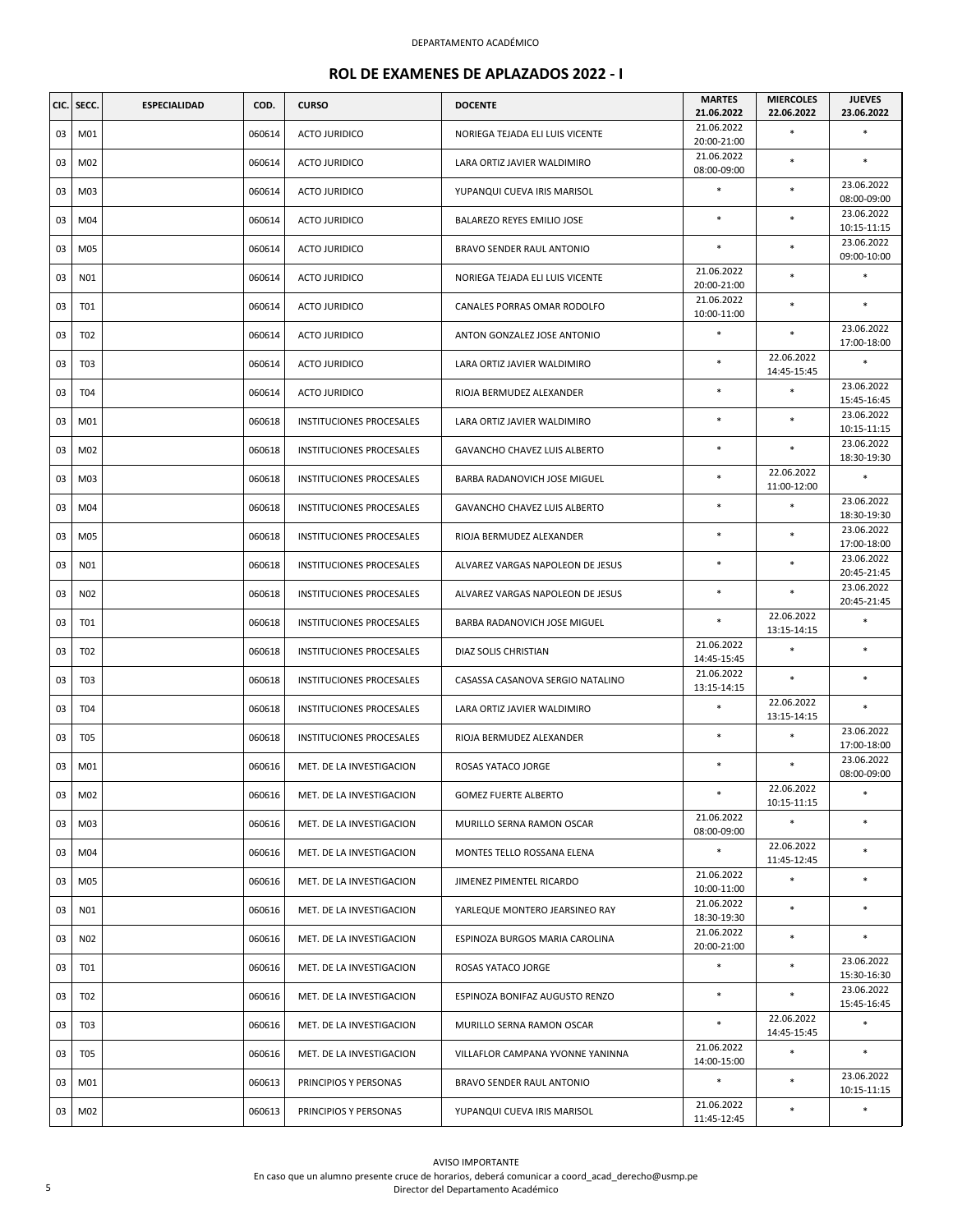| CIC. | SECC.      | <b>ESPECIALIDAD</b> | COD.   | <b>CURSO</b>                    | <b>DOCENTE</b>                   | <b>MARTES</b><br>21.06.2022 | <b>MIERCOLES</b><br>22.06.2022 | <b>JUEVES</b><br>23.06.2022 |
|------|------------|---------------------|--------|---------------------------------|----------------------------------|-----------------------------|--------------------------------|-----------------------------|
| 03   | M01        |                     | 060614 | <b>ACTO JURIDICO</b>            | NORIEGA TEJADA ELI LUIS VICENTE  | 21.06.2022<br>20:00-21:00   | $\ast$                         | $\ast$                      |
| 03   | M02        |                     | 060614 | <b>ACTO JURIDICO</b>            | LARA ORTIZ JAVIER WALDIMIRO      | 21.06.2022<br>08:00-09:00   | $\ast$                         | $\ast$                      |
| 03   | M03        |                     | 060614 | ACTO JURIDICO                   | YUPANQUI CUEVA IRIS MARISOL      | $\ast$                      | $\ast$                         | 23.06.2022<br>08:00-09:00   |
| 03   | M04        |                     | 060614 | <b>ACTO JURIDICO</b>            | BALAREZO REYES EMILIO JOSE       | $\ast$                      | $\ast$                         | 23.06.2022<br>10:15-11:15   |
| 03   | M05        |                     | 060614 | <b>ACTO JURIDICO</b>            | BRAVO SENDER RAUL ANTONIO        | $\ast$                      | $\ast$                         | 23.06.2022<br>09:00-10:00   |
| 03   | N01        |                     | 060614 | <b>ACTO JURIDICO</b>            | NORIEGA TEJADA ELI LUIS VICENTE  | 21.06.2022<br>20:00-21:00   | $\ast$                         | $\ast$                      |
| 03   | <b>T01</b> |                     | 060614 | <b>ACTO JURIDICO</b>            | CANALES PORRAS OMAR RODOLFO      | 21.06.2022<br>10:00-11:00   | $\ast$                         | $\ast$                      |
| 03   | T02        |                     | 060614 | <b>ACTO JURIDICO</b>            | ANTON GONZALEZ JOSE ANTONIO      | $\ast$                      | $\ast$                         | 23.06.2022<br>17:00-18:00   |
| 03   | T03        |                     | 060614 | <b>ACTO JURIDICO</b>            | LARA ORTIZ JAVIER WALDIMIRO      | *                           | 22.06.2022<br>14:45-15:45      | ×                           |
| 03   | <b>T04</b> |                     | 060614 | <b>ACTO JURIDICO</b>            | RIOJA BERMUDEZ ALEXANDER         | $\ast$                      | $\ast$                         | 23.06.2022<br>15:45-16:45   |
| 03   | M01        |                     | 060618 | <b>INSTITUCIONES PROCESALES</b> | LARA ORTIZ JAVIER WALDIMIRO      | $\ast$                      | $\ast$                         | 23.06.2022<br>10:15-11:15   |
| 03   | M02        |                     | 060618 | <b>INSTITUCIONES PROCESALES</b> | GAVANCHO CHAVEZ LUIS ALBERTO     | $\ast$                      | $\ast$                         | 23.06.2022<br>18:30-19:30   |
| 03   | M03        |                     | 060618 | INSTITUCIONES PROCESALES        | BARBA RADANOVICH JOSE MIGUEL     | $\ast$                      | 22.06.2022<br>11:00-12:00      | $\ast$                      |
| 03   | M04        |                     | 060618 | <b>INSTITUCIONES PROCESALES</b> | GAVANCHO CHAVEZ LUIS ALBERTO     | $\ast$                      | $\ast$                         | 23.06.2022<br>18:30-19:30   |
| 03   | M05        |                     | 060618 | <b>INSTITUCIONES PROCESALES</b> | RIOJA BERMUDEZ ALEXANDER         | $\ast$                      | $\ast$                         | 23.06.2022<br>17:00-18:00   |
| 03   | N01        |                     | 060618 | INSTITUCIONES PROCESALES        | ALVAREZ VARGAS NAPOLEON DE JESUS | $\ast$                      | $\ast$                         | 23.06.2022<br>20:45-21:45   |
| 03   | N02        |                     | 060618 | INSTITUCIONES PROCESALES        | ALVAREZ VARGAS NAPOLEON DE JESUS | $\ast$                      | $\ast$                         | 23.06.2022<br>20:45-21:45   |
| 03   | T01        |                     | 060618 | INSTITUCIONES PROCESALES        | BARBA RADANOVICH JOSE MIGUEL     | $\ast$                      | 22.06.2022<br>13:15-14:15      | $\ast$                      |
| 03   | T02        |                     | 060618 | INSTITUCIONES PROCESALES        | DIAZ SOLIS CHRISTIAN             | 21.06.2022<br>14:45-15:45   | $\ast$                         | $\ast$                      |
| 03   | <b>T03</b> |                     | 060618 | INSTITUCIONES PROCESALES        | CASASSA CASANOVA SERGIO NATALINO | 21.06.2022<br>13:15-14:15   | $\ast$                         | $\ast$                      |
| 03   | T04        |                     | 060618 | INSTITUCIONES PROCESALES        | LARA ORTIZ JAVIER WALDIMIRO      | $\ast$                      | 22.06.2022<br>13:15-14:15      | $\ast$                      |
| 03   | <b>T05</b> |                     | 060618 | INSTITUCIONES PROCESALES        | RIOJA BERMUDEZ ALEXANDER         | $\ast$                      | $\ast$                         | 23.06.2022<br>17:00-18:00   |
| 03   | M01        |                     | 060616 | MET. DE LA INVESTIGACION        | ROSAS YATACO JORGE               | $\ast$                      |                                | 23.06.2022<br>08:00-09:00   |
| 03   | M02        |                     | 060616 | MET. DE LA INVESTIGACION        | <b>GOMEZ FUERTE ALBERTO</b>      | $\ast$                      | 22.06.2022<br>10:15-11:15      | *                           |
| 03   | M03        |                     | 060616 | MET. DE LA INVESTIGACION        | MURILLO SERNA RAMON OSCAR        | 21.06.2022<br>08:00-09:00   | $\ast$                         | $\ast$                      |
| 03   | M04        |                     | 060616 | MET. DE LA INVESTIGACION        | MONTES TELLO ROSSANA ELENA       | $\ast$                      | 22.06.2022<br>11:45-12:45      | $\ast$                      |
| 03   | M05        |                     | 060616 | MET. DE LA INVESTIGACION        | JIMENEZ PIMENTEL RICARDO         | 21.06.2022<br>10:00-11:00   | $\ast$                         | *                           |
| 03   | N01        |                     | 060616 | MET. DE LA INVESTIGACION        | YARLEQUE MONTERO JEARSINEO RAY   | 21.06.2022<br>18:30-19:30   | $\ast$                         | $\ast$                      |
| 03   | N02        |                     | 060616 | MET. DE LA INVESTIGACION        | ESPINOZA BURGOS MARIA CAROLINA   | 21.06.2022<br>20:00-21:00   | $\ast$                         | $\ast$                      |
| 03   | T01        |                     | 060616 | MET. DE LA INVESTIGACION        | ROSAS YATACO JORGE               | $\ast$                      | $\ast$                         | 23.06.2022<br>15:30-16:30   |
| 03   | T02        |                     | 060616 | MET. DE LA INVESTIGACION        | ESPINOZA BONIFAZ AUGUSTO RENZO   | $\ast$                      | $\ast$                         | 23.06.2022<br>15:45-16:45   |
| 03   | T03        |                     | 060616 | MET. DE LA INVESTIGACION        | MURILLO SERNA RAMON OSCAR        | $\ast$                      | 22.06.2022<br>14:45-15:45      | $\ast$                      |
| 03   | T05        |                     | 060616 | MET. DE LA INVESTIGACION        | VILLAFLOR CAMPANA YVONNE YANINNA | 21.06.2022<br>14:00-15:00   | $\ast$                         | $\ast$                      |
| 03   | M01        |                     | 060613 | PRINCIPIOS Y PERSONAS           | BRAVO SENDER RAUL ANTONIO        | $\ast$                      | $\ast$                         | 23.06.2022<br>10:15-11:15   |
| 03   | M02        |                     | 060613 | PRINCIPIOS Y PERSONAS           | YUPANQUI CUEVA IRIS MARISOL      | 21.06.2022<br>11:45-12:45   | $\ast$                         | $\ast$                      |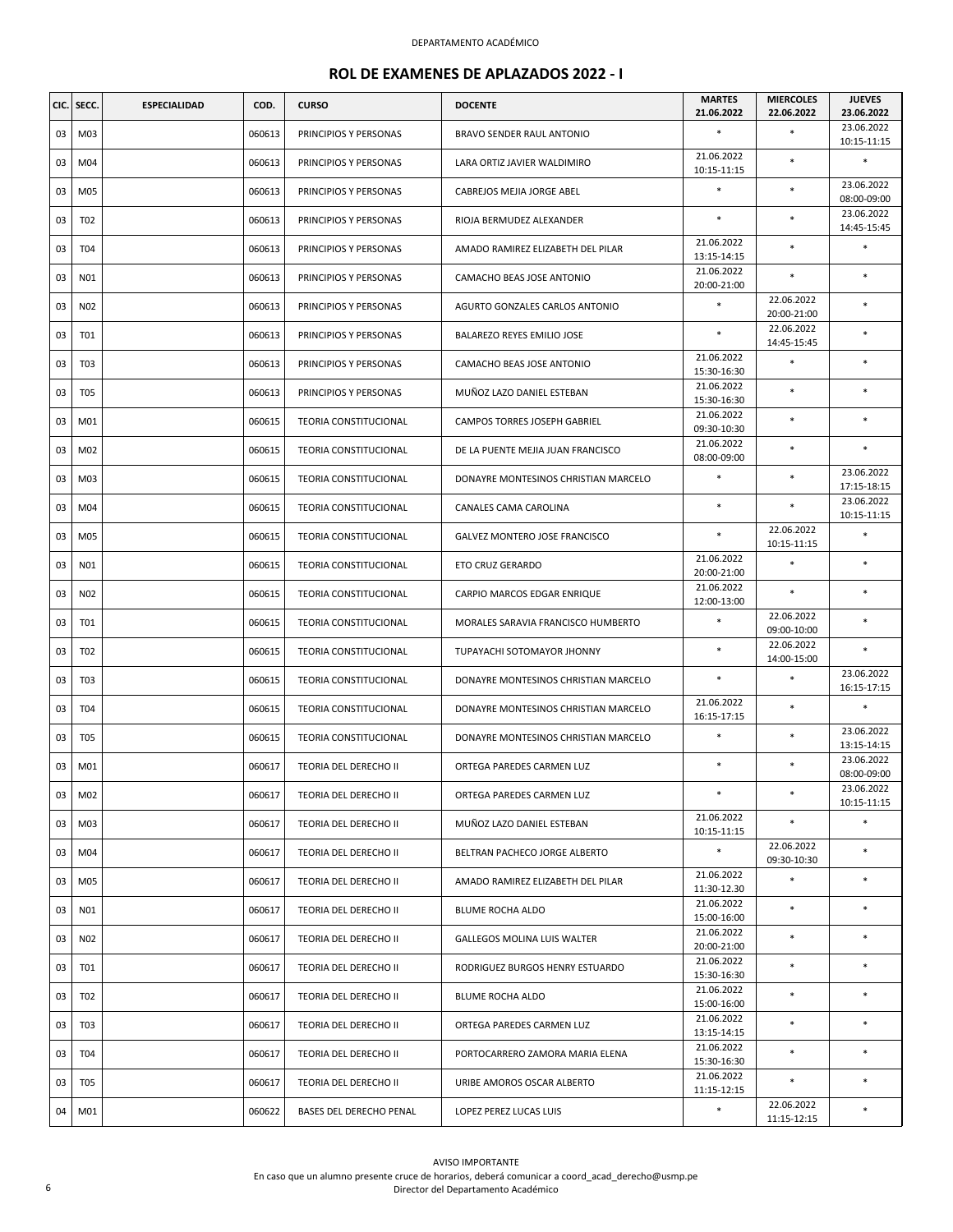| CIC. | SECC.           | <b>ESPECIALIDAD</b> | COD.   | <b>CURSO</b>                 | <b>DOCENTE</b>                       | <b>MARTES</b><br>21.06.2022 | <b>MIERCOLES</b><br>22.06.2022 | <b>JUEVES</b><br>23.06.2022 |
|------|-----------------|---------------------|--------|------------------------------|--------------------------------------|-----------------------------|--------------------------------|-----------------------------|
| 03   | M03             |                     | 060613 | PRINCIPIOS Y PERSONAS        | BRAVO SENDER RAUL ANTONIO            | $\ast$                      | $\ast$                         | 23.06.2022<br>10:15-11:15   |
| 03   | M04             |                     | 060613 | PRINCIPIOS Y PERSONAS        | LARA ORTIZ JAVIER WALDIMIRO          | 21.06.2022<br>10:15-11:15   | $\ast$                         | *                           |
| 03   | M05             |                     | 060613 | PRINCIPIOS Y PERSONAS        | CABREJOS MEJIA JORGE ABEL            | $\ast$                      | $\ast$                         | 23.06.2022<br>08:00-09:00   |
| 03   | T02             |                     | 060613 | PRINCIPIOS Y PERSONAS        | RIOJA BERMUDEZ ALEXANDER             | $\ast$                      | $\ast$                         | 23.06.2022<br>14:45-15:45   |
| 03   | T04             |                     | 060613 | PRINCIPIOS Y PERSONAS        | AMADO RAMIREZ ELIZABETH DEL PILAR    | 21.06.2022<br>13:15-14:15   | $\ast$                         | *                           |
| 03   | N01             |                     | 060613 | PRINCIPIOS Y PERSONAS        | CAMACHO BEAS JOSE ANTONIO            | 21.06.2022<br>20:00-21:00   | $\ast$                         | *                           |
| 03   | N <sub>02</sub> |                     | 060613 | PRINCIPIOS Y PERSONAS        | AGURTO GONZALES CARLOS ANTONIO       | $\ast$                      | 22.06.2022<br>20:00-21:00      | $\ast$                      |
| 03   | T01             |                     | 060613 | PRINCIPIOS Y PERSONAS        | BALAREZO REYES EMILIO JOSE           | $\ast$                      | 22.06.2022<br>14:45-15:45      | $\ast$                      |
| 03   | T <sub>03</sub> |                     | 060613 | PRINCIPIOS Y PERSONAS        | CAMACHO BEAS JOSE ANTONIO            | 21.06.2022<br>15:30-16:30   | $\ast$                         | *                           |
| 03   | T <sub>05</sub> |                     | 060613 | PRINCIPIOS Y PERSONAS        | MUÑOZ LAZO DANIEL ESTEBAN            | 21.06.2022<br>15:30-16:30   | $\ast$                         | $\ast$                      |
| 03   | M01             |                     | 060615 | TEORIA CONSTITUCIONAL        | CAMPOS TORRES JOSEPH GABRIEL         | 21.06.2022<br>09:30-10:30   | $\ast$                         | $\ast$                      |
| 03   | M02             |                     | 060615 | TEORIA CONSTITUCIONAL        | DE LA PUENTE MEJIA JUAN FRANCISCO    | 21.06.2022<br>08:00-09:00   | $\ast$                         | $\ast$                      |
| 03   | M03             |                     | 060615 | <b>TEORIA CONSTITUCIONAL</b> | DONAYRE MONTESINOS CHRISTIAN MARCELO | $\ast$                      | $\ast$                         | 23.06.2022<br>17:15-18:15   |
| 03   | M04             |                     | 060615 | TEORIA CONSTITUCIONAL        | CANALES CAMA CAROLINA                | $\ast$                      | $\ast$                         | 23.06.2022<br>10:15-11:15   |
| 03   | M05             |                     | 060615 | TEORIA CONSTITUCIONAL        | GALVEZ MONTERO JOSE FRANCISCO        | $\ast$                      | 22.06.2022<br>10:15-11:15      | *                           |
| 03   | N01             |                     | 060615 | <b>TEORIA CONSTITUCIONAL</b> | ETO CRUZ GERARDO                     | 21.06.2022<br>20:00-21:00   |                                | $\ast$                      |
| 03   | N02             |                     | 060615 | TEORIA CONSTITUCIONAL        | CARPIO MARCOS EDGAR ENRIQUE          | 21.06.2022<br>12:00-13:00   | $\ast$                         | $\ast$                      |
| 03   | T01             |                     | 060615 | TEORIA CONSTITUCIONAL        | MORALES SARAVIA FRANCISCO HUMBERTO   | $\ast$                      | 22.06.2022<br>09:00-10:00      | $\ast$                      |
| 03   | T <sub>02</sub> |                     | 060615 | <b>TEORIA CONSTITUCIONAL</b> | TUPAYACHI SOTOMAYOR JHONNY           | *                           | 22.06.2022<br>14:00-15:00      | *                           |
| 03   | T <sub>03</sub> |                     | 060615 | <b>TEORIA CONSTITUCIONAL</b> | DONAYRE MONTESINOS CHRISTIAN MARCELO | $\ast$                      | $\ast$                         | 23.06.2022<br>16:15-17:15   |
| 03   | T04             |                     | 060615 | TEORIA CONSTITUCIONAL        | DONAYRE MONTESINOS CHRISTIAN MARCELO | 21.06.2022<br>16:15-17:15   | $\ast$                         | *                           |
| 03   | T <sub>05</sub> |                     | 060615 | TEORIA CONSTITUCIONAL        | DONAYRE MONTESINOS CHRISTIAN MARCELO | *                           | $\ast$                         | 23.06.2022<br>13:15-14:15   |
| 03   | M01             |                     | 060617 | TEORIA DEL DERECHO II        | ORTEGA PAREDES CARMEN LUZ            | $\ast$                      | $\ast$                         | 23.06.2022<br>08:00-09:00   |
| 03   | M02             |                     | 060617 | TEORIA DEL DERECHO II        | ORTEGA PAREDES CARMEN LUZ            | $\ast$                      | $\ast$                         | 23.06.2022<br>10:15-11:15   |
| 03   | M03             |                     | 060617 | TEORIA DEL DERECHO II        | MUÑOZ LAZO DANIEL ESTEBAN            | 21.06.2022<br>10:15-11:15   | $\ast$                         | *                           |
| 03   | M04             |                     | 060617 | TEORIA DEL DERECHO II        | BELTRAN PACHECO JORGE ALBERTO        | $\ast$                      | 22.06.2022<br>09:30-10:30      | $\ast$                      |
| 03   | M05             |                     | 060617 | TEORIA DEL DERECHO II        | AMADO RAMIREZ ELIZABETH DEL PILAR    | 21.06.2022<br>11:30-12.30   | $\ast$                         | $\ast$                      |
| 03   | N01             |                     | 060617 | TEORIA DEL DERECHO II        | BLUME ROCHA ALDO                     | 21.06.2022<br>15:00-16:00   | $\ast$                         | *                           |
| 03   | N02             |                     | 060617 | TEORIA DEL DERECHO II        | <b>GALLEGOS MOLINA LUIS WALTER</b>   | 21.06.2022<br>20:00-21:00   | $\ast$                         | $\ast$                      |
| 03   | T01             |                     | 060617 | TEORIA DEL DERECHO II        | RODRIGUEZ BURGOS HENRY ESTUARDO      | 21.06.2022<br>15:30-16:30   | $\ast$                         | $\ast$                      |
| 03   | T02             |                     | 060617 | TEORIA DEL DERECHO II        | BLUME ROCHA ALDO                     | 21.06.2022<br>15:00-16:00   | $\ast$                         | *                           |
| 03   | T03             |                     | 060617 | TEORIA DEL DERECHO II        | ORTEGA PAREDES CARMEN LUZ            | 21.06.2022<br>13:15-14:15   | $\ast$                         | $\ast$                      |
| 03   | T04             |                     | 060617 | TEORIA DEL DERECHO II        | PORTOCARRERO ZAMORA MARIA ELENA      | 21.06.2022<br>15:30-16:30   | $\ast$                         | $\ast$                      |
| 03   | <b>T05</b>      |                     | 060617 | TEORIA DEL DERECHO II        | URIBE AMOROS OSCAR ALBERTO           | 21.06.2022<br>11:15-12:15   | $\ast$                         | *                           |
| 04   | M01             |                     | 060622 | BASES DEL DERECHO PENAL      | LOPEZ PEREZ LUCAS LUIS               | $\ast$                      | 22.06.2022<br>11:15-12:15      | $\ast$                      |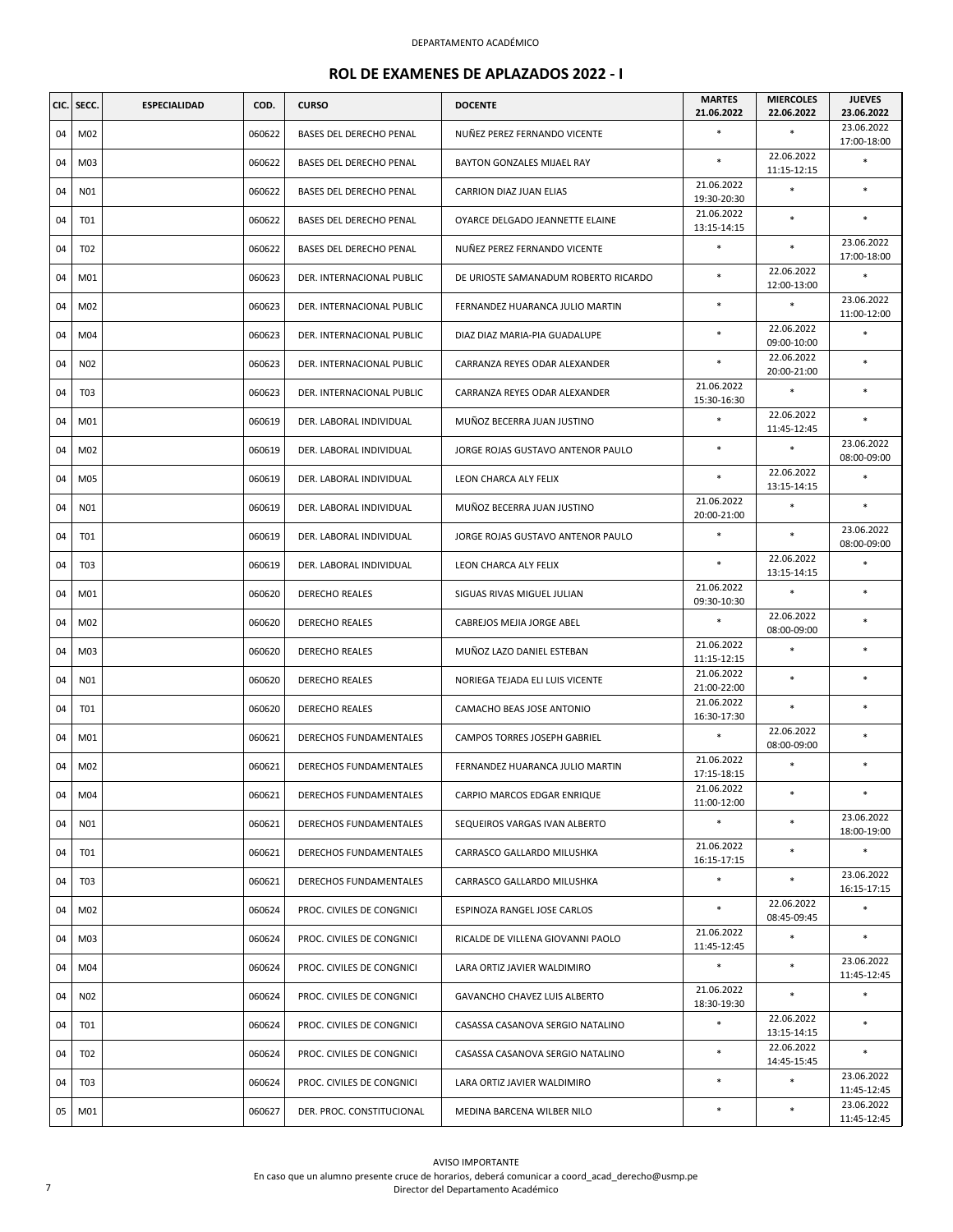| CIC. | SECC.           | <b>ESPECIALIDAD</b> | COD.   | <b>CURSO</b>                  | <b>DOCENTE</b>                       | <b>MARTES</b><br>21.06.2022 | <b>MIERCOLES</b><br>22.06.2022 | <b>JUEVES</b><br>23.06.2022 |
|------|-----------------|---------------------|--------|-------------------------------|--------------------------------------|-----------------------------|--------------------------------|-----------------------------|
| 04   | M02             |                     | 060622 | BASES DEL DERECHO PENAL       | NUÑEZ PEREZ FERNANDO VICENTE         | $\ast$                      | $\ast$                         | 23.06.2022<br>17:00-18:00   |
| 04   | M03             |                     | 060622 | BASES DEL DERECHO PENAL       | BAYTON GONZALES MIJAEL RAY           | $\ast$                      | 22.06.2022<br>11:15-12:15      | $\ast$                      |
| 04   | N01             |                     | 060622 | BASES DEL DERECHO PENAL       | CARRION DIAZ JUAN ELIAS              | 21.06.2022<br>19:30-20:30   | $\ast$                         | $\ast$                      |
| 04   | <b>T01</b>      |                     | 060622 | BASES DEL DERECHO PENAL       | OYARCE DELGADO JEANNETTE ELAINE      | 21.06.2022<br>13:15-14:15   | $\ast$                         | $\ast$                      |
| 04   | T02             |                     | 060622 | BASES DEL DERECHO PENAL       | NUÑEZ PEREZ FERNANDO VICENTE         | $\ast$                      | $\ast$                         | 23.06.2022<br>17:00-18:00   |
| 04   | M01             |                     | 060623 | DER. INTERNACIONAL PUBLIC     | DE URIOSTE SAMANADUM ROBERTO RICARDO | $\ast$                      | 22.06.2022<br>12:00-13:00      | $\ast$                      |
| 04   | M02             |                     | 060623 | DER. INTERNACIONAL PUBLIC     | FERNANDEZ HUARANCA JULIO MARTIN      | $\ast$                      | $\ast$                         | 23.06.2022<br>11:00-12:00   |
| 04   | M04             |                     | 060623 | DER. INTERNACIONAL PUBLIC     | DIAZ DIAZ MARIA-PIA GUADALUPE        | $\ast$                      | 22.06.2022<br>09:00-10:00      | $\ast$                      |
| 04   | N02             |                     | 060623 | DER. INTERNACIONAL PUBLIC     | CARRANZA REYES ODAR ALEXANDER        | $\ast$                      | 22.06.2022<br>20:00-21:00      | $\ast$                      |
| 04   | T <sub>03</sub> |                     | 060623 | DER. INTERNACIONAL PUBLIC     | CARRANZA REYES ODAR ALEXANDER        | 21.06.2022<br>15:30-16:30   | $\ast$                         | $\ast$                      |
| 04   | M01             |                     | 060619 | DER. LABORAL INDIVIDUAL       | MUÑOZ BECERRA JUAN JUSTINO           | $\ast$                      | 22.06.2022<br>11:45-12:45      | $\ast$                      |
| 04   | M02             |                     | 060619 | DER. LABORAL INDIVIDUAL       | JORGE ROJAS GUSTAVO ANTENOR PAULO    | $\ast$                      | $\ast$                         | 23.06.2022<br>08:00-09:00   |
| 04   | M05             |                     | 060619 | DER. LABORAL INDIVIDUAL       | LEON CHARCA ALY FELIX                | $\ast$                      | 22.06.2022<br>13:15-14:15      | $\ast$                      |
| 04   | N01             |                     | 060619 | DER. LABORAL INDIVIDUAL       | MUÑOZ BECERRA JUAN JUSTINO           | 21.06.2022<br>20:00-21:00   | $\ast$                         | $\ast$                      |
| 04   | T01             |                     | 060619 | DER. LABORAL INDIVIDUAL       | JORGE ROJAS GUSTAVO ANTENOR PAULO    | $\ast$                      | $\ast$                         | 23.06.2022<br>08:00-09:00   |
| 04   | T03             |                     | 060619 | DER. LABORAL INDIVIDUAL       | LEON CHARCA ALY FELIX                | $\ast$                      | 22.06.2022<br>13:15-14:15      | $\ast$                      |
| 04   | M01             |                     | 060620 | <b>DERECHO REALES</b>         | SIGUAS RIVAS MIGUEL JULIAN           | 21.06.2022<br>09:30-10:30   | $\ast$                         | $\ast$                      |
| 04   | M02             |                     | 060620 | <b>DERECHO REALES</b>         | CABREJOS MEJIA JORGE ABEL            | $\ast$                      | 22.06.2022<br>08:00-09:00      | $\ast$                      |
| 04   | M03             |                     | 060620 | <b>DERECHO REALES</b>         | MUÑOZ LAZO DANIEL ESTEBAN            | 21.06.2022<br>11:15-12:15   | $\ast$                         | $\ast$                      |
| 04   | N01             |                     | 060620 | <b>DERECHO REALES</b>         | NORIEGA TEJADA ELI LUIS VICENTE      | 21.06.2022<br>21:00-22:00   | $\ast$                         | $\ast$                      |
| 04   | T01             |                     | 060620 | <b>DERECHO REALES</b>         | CAMACHO BEAS JOSE ANTONIO            | 21.06.2022<br>16:30-17:30   | $\ast$                         | $\ast$                      |
| 04   | M01             |                     | 060621 | <b>DERECHOS FUNDAMENTALES</b> | CAMPOS TORRES JOSEPH GABRIEL         | $\ast$                      | 22.06.2022<br>08:00-09:00      | $\ast$                      |
| 04   | M02             |                     | 060621 | <b>DERECHOS FUNDAMENTALES</b> | FERNANDEZ HUARANCA JULIO MARTIN      | 21.06.2022<br>17:15-18:15   | $\ast$                         | $\ast$                      |
| 04   | M04             |                     | 060621 | DERECHOS FUNDAMENTALES        | CARPIO MARCOS EDGAR ENRIQUE          | 21.06.2022<br>11:00-12:00   | *                              | $\ast$                      |
| 04   | N01             |                     | 060621 | DERECHOS FUNDAMENTALES        | SEQUEIROS VARGAS IVAN ALBERTO        | $\ast$                      | $\ast$                         | 23.06.2022<br>18:00-19:00   |
| 04   | T01             |                     | 060621 | <b>DERECHOS FUNDAMENTALES</b> | CARRASCO GALLARDO MILUSHKA           | 21.06.2022<br>16:15-17:15   | $\ast$                         | $\ast$                      |
| 04   | T03             |                     | 060621 | DERECHOS FUNDAMENTALES        | CARRASCO GALLARDO MILUSHKA           | $\ast$                      | $\ast$                         | 23.06.2022<br>16:15-17:15   |
| 04   | M02             |                     | 060624 | PROC. CIVILES DE CONGNICI     | ESPINOZA RANGEL JOSE CARLOS          | $\ast$                      | 22.06.2022<br>08:45-09:45      | $\ast$                      |
| 04   | M03             |                     | 060624 | PROC. CIVILES DE CONGNICI     | RICALDE DE VILLENA GIOVANNI PAOLO    | 21.06.2022<br>11:45-12:45   | $\ast$                         | *                           |
| 04   | M04             |                     | 060624 | PROC. CIVILES DE CONGNICI     | LARA ORTIZ JAVIER WALDIMIRO          | $\ast$                      | $\ast$                         | 23.06.2022<br>11:45-12:45   |
| 04   | N02             |                     | 060624 | PROC. CIVILES DE CONGNICI     | GAVANCHO CHAVEZ LUIS ALBERTO         | 21.06.2022<br>18:30-19:30   | $\ast$                         | $\ast$                      |
| 04   | T01             |                     | 060624 | PROC. CIVILES DE CONGNICI     | CASASSA CASANOVA SERGIO NATALINO     | $\ast$                      | 22.06.2022<br>13:15-14:15      | $\ast$                      |
| 04   | T02             |                     | 060624 | PROC. CIVILES DE CONGNICI     | CASASSA CASANOVA SERGIO NATALINO     | $\ast$                      | 22.06.2022<br>14:45-15:45      | $\ast$                      |
| 04   | T03             |                     | 060624 | PROC. CIVILES DE CONGNICI     | LARA ORTIZ JAVIER WALDIMIRO          | *                           | $\ast$                         | 23.06.2022<br>11:45-12:45   |
| 05   | M01             |                     | 060627 | DER. PROC. CONSTITUCIONAL     | MEDINA BARCENA WILBER NILO           | $\ast$                      | $\ast$                         | 23.06.2022<br>11:45-12:45   |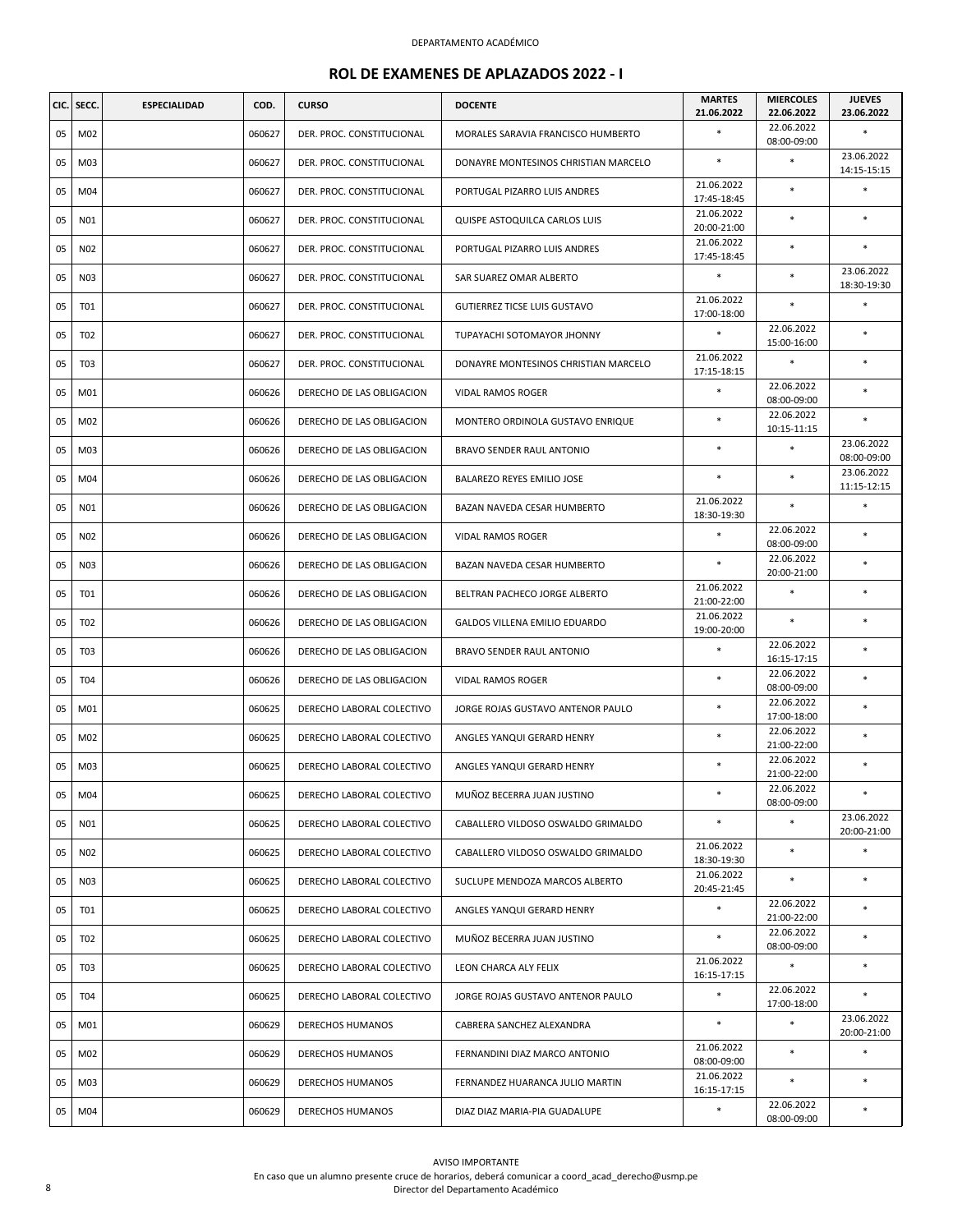| CIC. | SECC.           | <b>ESPECIALIDAD</b> | COD.   | <b>CURSO</b>              | <b>DOCENTE</b>                       | <b>MARTES</b><br>21.06.2022 | <b>MIERCOLES</b><br>22.06.2022 | <b>JUEVES</b><br>23.06.2022 |
|------|-----------------|---------------------|--------|---------------------------|--------------------------------------|-----------------------------|--------------------------------|-----------------------------|
| 05   | M02             |                     | 060627 | DER. PROC. CONSTITUCIONAL | MORALES SARAVIA FRANCISCO HUMBERTO   | $\ast$                      | 22.06.2022<br>08:00-09:00      | *                           |
| 05   | M03             |                     | 060627 | DER. PROC. CONSTITUCIONAL | DONAYRE MONTESINOS CHRISTIAN MARCELO | $\ast$                      |                                | 23.06.2022<br>14:15-15:15   |
| 05   | M04             |                     | 060627 | DER. PROC. CONSTITUCIONAL | PORTUGAL PIZARRO LUIS ANDRES         | 21.06.2022<br>17:45-18:45   | $\ast$                         | $\ast$                      |
| 05   | N01             |                     | 060627 | DER. PROC. CONSTITUCIONAL | QUISPE ASTOQUILCA CARLOS LUIS        | 21.06.2022<br>20:00-21:00   | $\ast$                         | $\ast$                      |
| 05   | N02             |                     | 060627 | DER. PROC. CONSTITUCIONAL | PORTUGAL PIZARRO LUIS ANDRES         | 21.06.2022<br>17:45-18:45   | $\ast$                         | $\ast$                      |
| 05   | N03             |                     | 060627 | DER. PROC. CONSTITUCIONAL | SAR SUAREZ OMAR ALBERTO              | $\ast$                      | $\ast$                         | 23.06.2022<br>18:30-19:30   |
| 05   | <b>T01</b>      |                     | 060627 | DER. PROC. CONSTITUCIONAL | GUTIERREZ TICSE LUIS GUSTAVO         | 21.06.2022<br>17:00-18:00   |                                | $\ast$                      |
| 05   | T02             |                     | 060627 | DER. PROC. CONSTITUCIONAL | TUPAYACHI SOTOMAYOR JHONNY           | $\ast$                      | 22.06.2022<br>15:00-16:00      | *                           |
| 05   | T <sub>03</sub> |                     | 060627 | DER. PROC. CONSTITUCIONAL | DONAYRE MONTESINOS CHRISTIAN MARCELO | 21.06.2022<br>17:15-18:15   | $\ast$                         | *                           |
| 05   | M01             |                     | 060626 | DERECHO DE LAS OBLIGACION | VIDAL RAMOS ROGER                    | $\ast$                      | 22.06.2022<br>08:00-09:00      | $\ast$                      |
| 05   | M02             |                     | 060626 | DERECHO DE LAS OBLIGACION | MONTERO ORDINOLA GUSTAVO ENRIQUE     | $\ast$                      | 22.06.2022<br>10:15-11:15      | *                           |
| 05   | M03             |                     | 060626 | DERECHO DE LAS OBLIGACION | BRAVO SENDER RAUL ANTONIO            | *                           | $\ast$                         | 23.06.2022<br>08:00-09:00   |
| 05   | M04             |                     | 060626 | DERECHO DE LAS OBLIGACION | BALAREZO REYES EMILIO JOSE           | $\ast$                      | $\ast$                         | 23.06.2022<br>11:15-12:15   |
| 05   | N01             |                     | 060626 | DERECHO DE LAS OBLIGACION | BAZAN NAVEDA CESAR HUMBERTO          | 21.06.2022<br>18:30-19:30   | $\ast$                         | $\ast$                      |
| 05   | N02             |                     | 060626 | DERECHO DE LAS OBLIGACION | <b>VIDAL RAMOS ROGER</b>             |                             | 22.06.2022<br>08:00-09:00      | *                           |
| 05   | N03             |                     | 060626 | DERECHO DE LAS OBLIGACION | BAZAN NAVEDA CESAR HUMBERTO          | $\ast$                      | 22.06.2022<br>20:00-21:00      | $\ast$                      |
| 05   | T01             |                     | 060626 | DERECHO DE LAS OBLIGACION | BELTRAN PACHECO JORGE ALBERTO        | 21.06.2022<br>21:00-22:00   | $\ast$                         | $\ast$                      |
| 05   | T <sub>02</sub> |                     | 060626 | DERECHO DE LAS OBLIGACION | GALDOS VILLENA EMILIO EDUARDO        | 21.06.2022<br>19:00-20:00   | $\ast$                         | *                           |
| 05   | T <sub>03</sub> |                     | 060626 | DERECHO DE LAS OBLIGACION | BRAVO SENDER RAUL ANTONIO            | $\ast$                      | 22.06.2022<br>16:15-17:15      | $\ast$                      |
| 05   | T04             |                     | 060626 | DERECHO DE LAS OBLIGACION | VIDAL RAMOS ROGER                    | $\ast$                      | 22.06.2022<br>08:00-09:00      | $\ast$                      |
| 05   | M01             |                     | 060625 | DERECHO LABORAL COLECTIVO | JORGE ROJAS GUSTAVO ANTENOR PAULO    | $\ast$                      | 22.06.2022<br>17:00-18:00      | ×                           |
| 05   | M02             |                     | 060625 | DERECHO LABORAL COLECTIVO | ANGLES YANQUI GERARD HENRY           | $\ast$                      | 22.06.2022<br>21:00-22:00      | ×                           |
| 05   | M03             |                     | 060625 | DERECHO LABORAL COLECTIVO | ANGLES YANQUI GERARD HENRY           | $\ast$                      | 22.06.2022<br>21:00-22:00      | *                           |
| 05   | M04             |                     | 060625 | DERECHO LABORAL COLECTIVO | MUÑOZ BECERRA JUAN JUSTINO           |                             | 22.06.2022<br>08:00-09:00      | $\ast$                      |
| 05   | N01             |                     | 060625 | DERECHO LABORAL COLECTIVO | CABALLERO VILDOSO OSWALDO GRIMALDO   | $\ast$                      | $\ast$                         | 23.06.2022<br>20:00-21:00   |
| 05   | N02             |                     | 060625 | DERECHO LABORAL COLECTIVO | CABALLERO VILDOSO OSWALDO GRIMALDO   | 21.06.2022<br>18:30-19:30   | $\ast$                         | $\ast$                      |
| 05   | N03             |                     | 060625 | DERECHO LABORAL COLECTIVO | SUCLUPE MENDOZA MARCOS ALBERTO       | 21.06.2022<br>20:45-21:45   | $\ast$                         | *                           |
| 05   | T01             |                     | 060625 | DERECHO LABORAL COLECTIVO | ANGLES YANQUI GERARD HENRY           | $\ast$                      | 22.06.2022<br>21:00-22:00      | $\ast$                      |
| 05   | T <sub>02</sub> |                     | 060625 | DERECHO LABORAL COLECTIVO | MUÑOZ BECERRA JUAN JUSTINO           | $\ast$                      | 22.06.2022<br>08:00-09:00      | *                           |
| 05   | T03             |                     | 060625 | DERECHO LABORAL COLECTIVO | LEON CHARCA ALY FELIX                | 21.06.2022<br>16:15-17:15   | $\ast$                         | *                           |
| 05   | T04             |                     | 060625 | DERECHO LABORAL COLECTIVO | JORGE ROJAS GUSTAVO ANTENOR PAULO    | $\ast$                      | 22.06.2022<br>17:00-18:00      | $\ast$                      |
| 05   | M01             |                     | 060629 | DERECHOS HUMANOS          | CABRERA SANCHEZ ALEXANDRA            | $\ast$                      | $\ast$                         | 23.06.2022<br>20:00-21:00   |
| 05   | M02             |                     | 060629 | DERECHOS HUMANOS          | FERNANDINI DIAZ MARCO ANTONIO        | 21.06.2022<br>08:00-09:00   | $\ast$                         | *                           |
| 05   | M03             |                     | 060629 | DERECHOS HUMANOS          | FERNANDEZ HUARANCA JULIO MARTIN      | 21.06.2022<br>16:15-17:15   | $\ast$                         | *                           |
| 05   | M04             |                     | 060629 | DERECHOS HUMANOS          | DIAZ DIAZ MARIA-PIA GUADALUPE        | $*$                         | 22.06.2022<br>08:00-09:00      | *                           |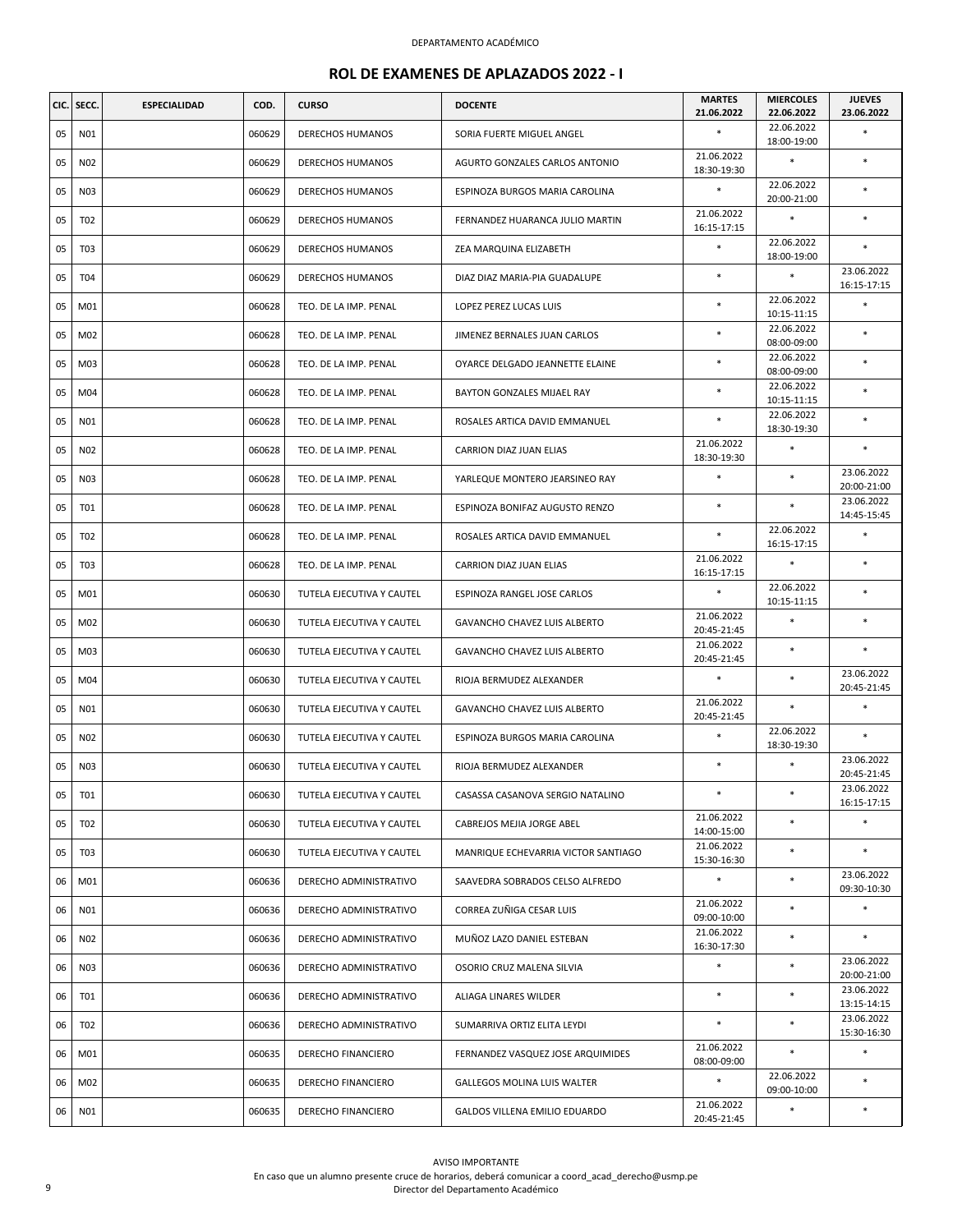| CIC. | SECC.           | <b>ESPECIALIDAD</b> | COD.   | <b>CURSO</b>              | <b>DOCENTE</b>                      | <b>MARTES</b><br>21.06.2022 | <b>MIERCOLES</b><br>22.06.2022 | <b>JUEVES</b><br>23.06.2022 |
|------|-----------------|---------------------|--------|---------------------------|-------------------------------------|-----------------------------|--------------------------------|-----------------------------|
| 05   | N01             |                     | 060629 | <b>DERECHOS HUMANOS</b>   | SORIA FUERTE MIGUEL ANGEL           | $\ast$                      | 22.06.2022<br>18:00-19:00      | ×                           |
| 05   | N02             |                     | 060629 | <b>DERECHOS HUMANOS</b>   | AGURTO GONZALES CARLOS ANTONIO      | 21.06.2022<br>18:30-19:30   | $\ast$                         | $\ast$                      |
| 05   | N03             |                     | 060629 | <b>DERECHOS HUMANOS</b>   | ESPINOZA BURGOS MARIA CAROLINA      | $\ast$                      | 22.06.2022<br>20:00-21:00      | $\ast$                      |
| 05   | T <sub>02</sub> |                     | 060629 | <b>DERECHOS HUMANOS</b>   | FERNANDEZ HUARANCA JULIO MARTIN     | 21.06.2022<br>16:15-17:15   | $\ast$                         | $\ast$                      |
| 05   | T <sub>03</sub> |                     | 060629 | <b>DERECHOS HUMANOS</b>   | ZEA MARQUINA ELIZABETH              | $\ast$                      | 22.06.2022<br>18:00-19:00      | $\ast$                      |
| 05   | T04             |                     | 060629 | <b>DERECHOS HUMANOS</b>   | DIAZ DIAZ MARIA-PIA GUADALUPE       | $\ast$                      | $\ast$                         | 23.06.2022<br>16:15-17:15   |
| 05   | M01             |                     | 060628 | TEO. DE LA IMP. PENAL     | <b>LOPEZ PEREZ LUCAS LUIS</b>       | $\ast$                      | 22.06.2022<br>10:15-11:15      | $\ast$                      |
| 05   | M02             |                     | 060628 | TEO. DE LA IMP. PENAL     | JIMENEZ BERNALES JUAN CARLOS        | $\ast$                      | 22.06.2022<br>08:00-09:00      | $\ast$                      |
| 05   | M03             |                     | 060628 | TEO. DE LA IMP. PENAL     | OYARCE DELGADO JEANNETTE ELAINE     | *                           | 22.06.2022<br>08:00-09:00      | *                           |
| 05   | M04             |                     | 060628 | TEO. DE LA IMP. PENAL     | BAYTON GONZALES MIJAEL RAY          | $\ast$                      | 22.06.2022<br>10:15-11:15      | *                           |
| 05   | N01             |                     | 060628 | TEO. DE LA IMP. PENAL     | ROSALES ARTICA DAVID EMMANUEL       | $\ast$                      | 22.06.2022<br>18:30-19:30      | $\ast$                      |
| 05   | N02             |                     | 060628 | TEO. DE LA IMP. PENAL     | CARRION DIAZ JUAN ELIAS             | 21.06.2022<br>18:30-19:30   | $\ast$                         | $\ast$                      |
| 05   | N03             |                     | 060628 | TEO. DE LA IMP. PENAL     | YARLEQUE MONTERO JEARSINEO RAY      | $\ast$                      | $\ast$                         | 23.06.2022<br>20:00-21:00   |
| 05   | T01             |                     | 060628 | TEO. DE LA IMP. PENAL     | ESPINOZA BONIFAZ AUGUSTO RENZO      | $\ast$                      | $\ast$                         | 23.06.2022<br>14:45-15:45   |
| 05   | T02             |                     | 060628 | TEO. DE LA IMP. PENAL     | ROSALES ARTICA DAVID EMMANUEL       | $\ast$                      | 22.06.2022<br>16:15-17:15      | *                           |
| 05   | T <sub>03</sub> |                     | 060628 | TEO. DE LA IMP. PENAL     | CARRION DIAZ JUAN ELIAS             | 21.06.2022<br>16:15-17:15   | $\ast$                         | $\ast$                      |
| 05   | M01             |                     | 060630 | TUTELA EJECUTIVA Y CAUTEL | ESPINOZA RANGEL JOSE CARLOS         | $\ast$                      | 22.06.2022<br>10:15-11:15      | $\ast$                      |
| 05   | M02             |                     | 060630 | TUTELA EJECUTIVA Y CAUTEL | GAVANCHO CHAVEZ LUIS ALBERTO        | 21.06.2022<br>20:45-21:45   | $\ast$                         | $\ast$                      |
| 05   | M03             |                     | 060630 | TUTELA EJECUTIVA Y CAUTEL | GAVANCHO CHAVEZ LUIS ALBERTO        | 21.06.2022<br>20:45-21:45   | $\ast$                         | *                           |
| 05   | M04             |                     | 060630 | TUTELA EJECUTIVA Y CAUTEL | RIOJA BERMUDEZ ALEXANDER            | $\ast$                      | $\ast$                         | 23.06.2022<br>20:45-21:45   |
| 05   | N01             |                     | 060630 | TUTELA EJECUTIVA Y CAUTEL | GAVANCHO CHAVEZ LUIS ALBERTO        | 21.06.2022<br>20:45-21:45   | $\ast$                         | $\ast$                      |
| 05   | N02             |                     | 060630 | TUTELA EJECUTIVA Y CAUTEL | ESPINOZA BURGOS MARIA CAROLINA      | $\ast$                      | 22.06.2022<br>18:30-19:30      | ×                           |
| 05   | N03             |                     | 060630 | TUTELA EJECUTIVA Y CAUTEL | RIOJA BERMUDEZ ALEXANDER            | $\ast$                      | $\ast$                         | 23.06.2022<br>20:45-21:45   |
| 05   | <b>T01</b>      |                     | 060630 | TUTELA EJECUTIVA Y CAUTEL | CASASSA CASANOVA SERGIO NATALINO    | $\ast$                      | $\ast$                         | 23.06.2022<br>16:15-17:15   |
| 05   | T02             |                     | 060630 | TUTELA EJECUTIVA Y CAUTEL | CABREJOS MEJIA JORGE ABEL           | 21.06.2022<br>14:00-15:00   | $\ast$                         | *                           |
| 05   | T03             |                     | 060630 | TUTELA EJECUTIVA Y CAUTEL | MANRIQUE ECHEVARRIA VICTOR SANTIAGO | 21.06.2022<br>15:30-16:30   | $\ast$                         | $\ast$                      |
| 06   | M01             |                     | 060636 | DERECHO ADMINISTRATIVO    | SAAVEDRA SOBRADOS CELSO ALFREDO     | $\ast$                      | $\ast$                         | 23.06.2022<br>09:30-10:30   |
| 06   | N01             |                     | 060636 | DERECHO ADMINISTRATIVO    | CORREA ZUÑIGA CESAR LUIS            | 21.06.2022<br>09:00-10:00   | $\ast$                         | *                           |
| 06   | N02             |                     | 060636 | DERECHO ADMINISTRATIVO    | MUÑOZ LAZO DANIEL ESTEBAN           | 21.06.2022<br>16:30-17:30   | $\ast$                         | $\ast$                      |
| 06   | N03             |                     | 060636 | DERECHO ADMINISTRATIVO    | OSORIO CRUZ MALENA SILVIA           | $\ast$                      | $\ast$                         | 23.06.2022<br>20:00-21:00   |
| 06   | <b>T01</b>      |                     | 060636 | DERECHO ADMINISTRATIVO    | ALIAGA LINARES WILDER               | $\ast$                      | $\ast$                         | 23.06.2022<br>13:15-14:15   |
| 06   | T02             |                     | 060636 | DERECHO ADMINISTRATIVO    | SUMARRIVA ORTIZ ELITA LEYDI         | $\ast$                      | $\ast$                         | 23.06.2022<br>15:30-16:30   |
| 06   | M01             |                     | 060635 | DERECHO FINANCIERO        | FERNANDEZ VASQUEZ JOSE ARQUIMIDES   | 21.06.2022<br>08:00-09:00   | $\ast$                         | $\ast$                      |
| 06   | M02             |                     | 060635 | DERECHO FINANCIERO        | <b>GALLEGOS MOLINA LUIS WALTER</b>  | $\ast$                      | 22.06.2022<br>09:00-10:00      | $\ast$                      |
| 06   | N01             |                     | 060635 | DERECHO FINANCIERO        | GALDOS VILLENA EMILIO EDUARDO       | 21.06.2022<br>20:45-21:45   | $\ast$                         | $\ast$                      |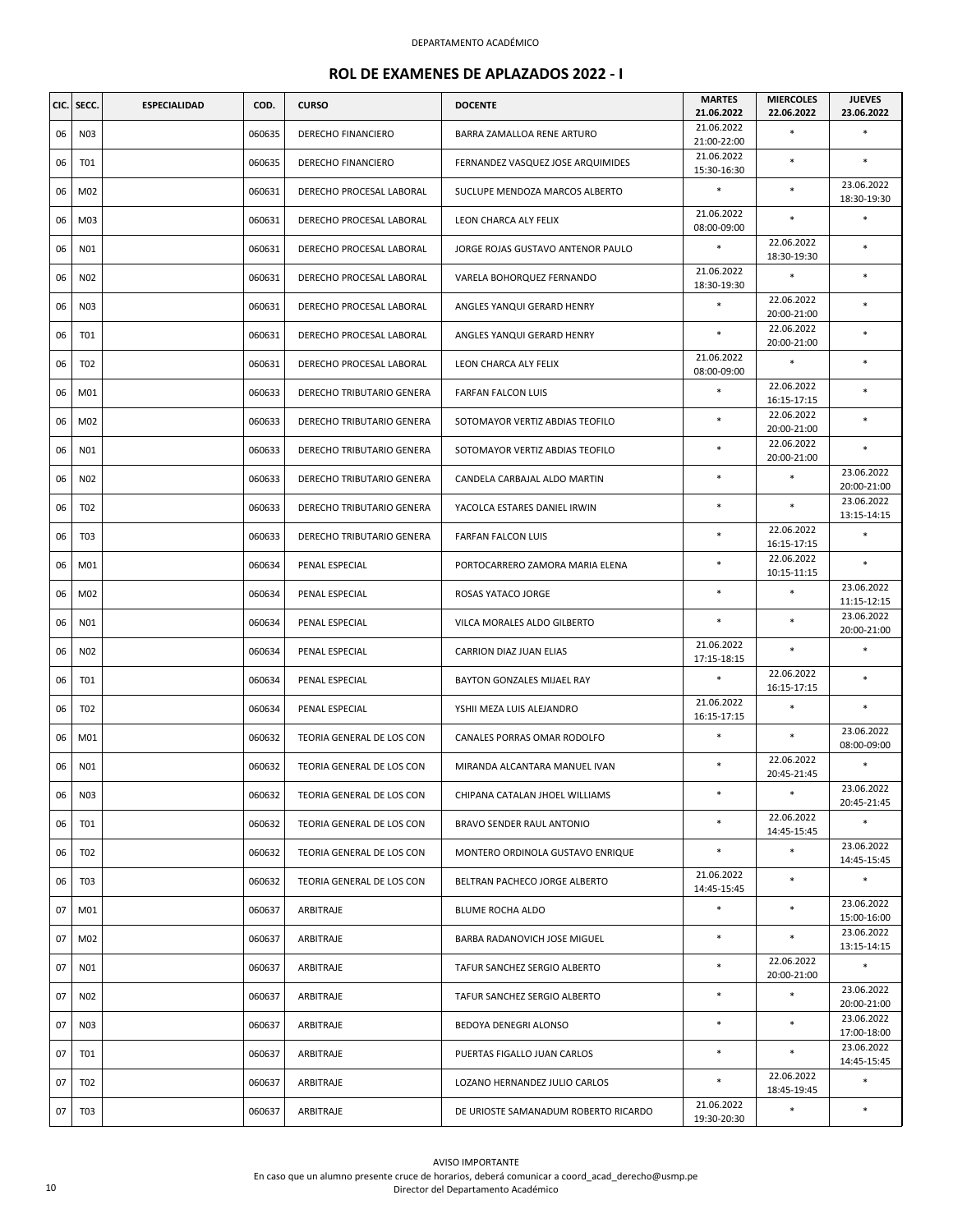|    | CIC. SECC.      | <b>ESPECIALIDAD</b> | COD.   | <b>CURSO</b>              | <b>DOCENTE</b>                       | <b>MARTES</b><br>21.06.2022 | <b>MIERCOLES</b><br>22.06.2022 | <b>JUEVES</b><br>23.06.2022 |
|----|-----------------|---------------------|--------|---------------------------|--------------------------------------|-----------------------------|--------------------------------|-----------------------------|
| 06 | N03             |                     | 060635 | <b>DERECHO FINANCIERO</b> | BARRA ZAMALLOA RENE ARTURO           | 21.06.2022<br>21:00-22:00   |                                | *                           |
| 06 | <b>T01</b>      |                     | 060635 | DERECHO FINANCIERO        | FERNANDEZ VASQUEZ JOSE ARQUIMIDES    | 21.06.2022<br>15:30-16:30   | $\ast$                         | $\ast$                      |
| 06 | M02             |                     | 060631 | DERECHO PROCESAL LABORAL  | SUCLUPE MENDOZA MARCOS ALBERTO       | $\ast$                      | $\ast$                         | 23.06.2022<br>18:30-19:30   |
| 06 | M03             |                     | 060631 | DERECHO PROCESAL LABORAL  | LEON CHARCA ALY FELIX                | 21.06.2022<br>08:00-09:00   | $\ast$                         |                             |
| 06 | N01             |                     | 060631 | DERECHO PROCESAL LABORAL  | JORGE ROJAS GUSTAVO ANTENOR PAULO    | $\ast$                      | 22.06.2022<br>18:30-19:30      | $\ast$                      |
| 06 | N02             |                     | 060631 | DERECHO PROCESAL LABORAL  | VARELA BOHORQUEZ FERNANDO            | 21.06.2022<br>18:30-19:30   | $\ast$                         | $\ast$                      |
| 06 | N03             |                     | 060631 | DERECHO PROCESAL LABORAL  | ANGLES YANQUI GERARD HENRY           | $\ast$                      | 22.06.2022<br>20:00-21:00      | *                           |
| 06 | <b>T01</b>      |                     | 060631 | DERECHO PROCESAL LABORAL  | ANGLES YANQUI GERARD HENRY           | $\ast$                      | 22.06.2022<br>20:00-21:00      | $\ast$                      |
| 06 | T02             |                     | 060631 | DERECHO PROCESAL LABORAL  | LEON CHARCA ALY FELIX                | 21.06.2022<br>08:00-09:00   | $\ast$                         | *                           |
| 06 | M01             |                     | 060633 | DERECHO TRIBUTARIO GENERA | <b>FARFAN FALCON LUIS</b>            | $\ast$                      | 22.06.2022<br>16:15-17:15      | ×                           |
| 06 | M02             |                     | 060633 | DERECHO TRIBUTARIO GENERA | SOTOMAYOR VERTIZ ABDIAS TEOFILO      | $\ast$                      | 22.06.2022<br>20:00-21:00      | $\ast$                      |
| 06 | N01             |                     | 060633 | DERECHO TRIBUTARIO GENERA | SOTOMAYOR VERTIZ ABDIAS TEOFILO      | $\ast$                      | 22.06.2022<br>20:00-21:00      | $\ast$                      |
| 06 | N02             |                     | 060633 | DERECHO TRIBUTARIO GENERA | CANDELA CARBAJAL ALDO MARTIN         | *                           | $\ast$                         | 23.06.2022<br>20:00-21:00   |
| 06 | T <sub>02</sub> |                     | 060633 | DERECHO TRIBUTARIO GENERA | YACOLCA ESTARES DANIEL IRWIN         | $\ast$                      | $\ast$                         | 23.06.2022<br>13:15-14:15   |
| 06 | T <sub>03</sub> |                     | 060633 | DERECHO TRIBUTARIO GENERA | FARFAN FALCON LUIS                   | $\ast$                      | 22.06.2022<br>16:15-17:15      | *                           |
| 06 | M01             |                     | 060634 | PENAL ESPECIAL            | PORTOCARRERO ZAMORA MARIA ELENA      | $\ast$                      | 22.06.2022<br>10:15-11:15      | $\ast$                      |
| 06 | M02             |                     | 060634 | PENAL ESPECIAL            | ROSAS YATACO JORGE                   | $\ast$                      | $\ast$                         | 23.06.2022<br>11:15-12:15   |
| 06 | N01             |                     | 060634 | PENAL ESPECIAL            | VILCA MORALES ALDO GILBERTO          | $\ast$                      | $\ast$                         | 23.06.2022<br>20:00-21:00   |
| 06 | N02             |                     | 060634 | PENAL ESPECIAL            | CARRION DIAZ JUAN ELIAS              | 21.06.2022<br>17:15-18:15   | $\ast$                         | $\ast$                      |
| 06 | T01             |                     | 060634 | PENAL ESPECIAL            | BAYTON GONZALES MIJAEL RAY           | $\ast$                      | 22.06.2022<br>16:15-17:15      | *                           |
| 06 | T02             |                     | 060634 | PENAL ESPECIAL            | YSHII MEZA LUIS ALEJANDRO            | 21.06.2022<br>16:15-17:15   | $\ast$                         | $\ast$                      |
| 06 | M01             |                     | 060632 | TEORIA GENERAL DE LOS CON | CANALES PORRAS OMAR RODOLFO          | $\ast$                      | $\ast$                         | 23.06.2022<br>08:00-09:00   |
| 06 | N01             |                     | 060632 | TEORIA GENERAL DE LOS CON | MIRANDA ALCANTARA MANUEL IVAN        | $\ast$                      | 22.06.2022<br>20:45-21:45      | $\ast$                      |
| 06 | N03             |                     | 060632 | TEORIA GENERAL DE LOS CON | CHIPANA CATALAN JHOEL WILLIAMS       |                             | $\ast$                         | 23.06.2022<br>20:45-21:45   |
| 06 | T01             |                     | 060632 | TEORIA GENERAL DE LOS CON | BRAVO SENDER RAUL ANTONIO            | $\ast$                      | 22.06.2022<br>14:45-15:45      | $\ast$                      |
| 06 | T02             |                     | 060632 | TEORIA GENERAL DE LOS CON | MONTERO ORDINOLA GUSTAVO ENRIQUE     | $\ast$                      | $\ast$                         | 23.06.2022<br>14:45-15:45   |
| 06 | T03             |                     | 060632 | TEORIA GENERAL DE LOS CON | BELTRAN PACHECO JORGE ALBERTO        | 21.06.2022<br>14:45-15:45   | $\ast$                         | $\ast$                      |
| 07 | M01             |                     | 060637 | ARBITRAJE                 | BLUME ROCHA ALDO                     | $\ast$                      | $\ast$                         | 23.06.2022<br>15:00-16:00   |
| 07 | M02             |                     | 060637 | ARBITRAJE                 | BARBA RADANOVICH JOSE MIGUEL         | $\ast$                      | $\ast$                         | 23.06.2022<br>13:15-14:15   |
| 07 | N01             |                     | 060637 | ARBITRAJE                 | TAFUR SANCHEZ SERGIO ALBERTO         | $\ast$                      | 22.06.2022<br>20:00-21:00      | $\ast$                      |
| 07 | N02             |                     | 060637 | ARBITRAJE                 | TAFUR SANCHEZ SERGIO ALBERTO         | $\ast$                      | $\ast$                         | 23.06.2022<br>20:00-21:00   |
| 07 | N03             |                     | 060637 | ARBITRAJE                 | BEDOYA DENEGRI ALONSO                | $\ast$                      | $\ast$                         | 23.06.2022<br>17:00-18:00   |
| 07 | T01             |                     | 060637 | ARBITRAJE                 | PUERTAS FIGALLO JUAN CARLOS          | $\ast$                      | $\ast$                         | 23.06.2022<br>14:45-15:45   |
| 07 | T02             |                     | 060637 | ARBITRAJE                 | LOZANO HERNANDEZ JULIO CARLOS        | $\ast$                      | 22.06.2022<br>18:45-19:45      | *                           |
| 07 | T03             |                     | 060637 | ARBITRAJE                 | DE URIOSTE SAMANADUM ROBERTO RICARDO | 21.06.2022<br>19:30-20:30   | $\ast$                         | *                           |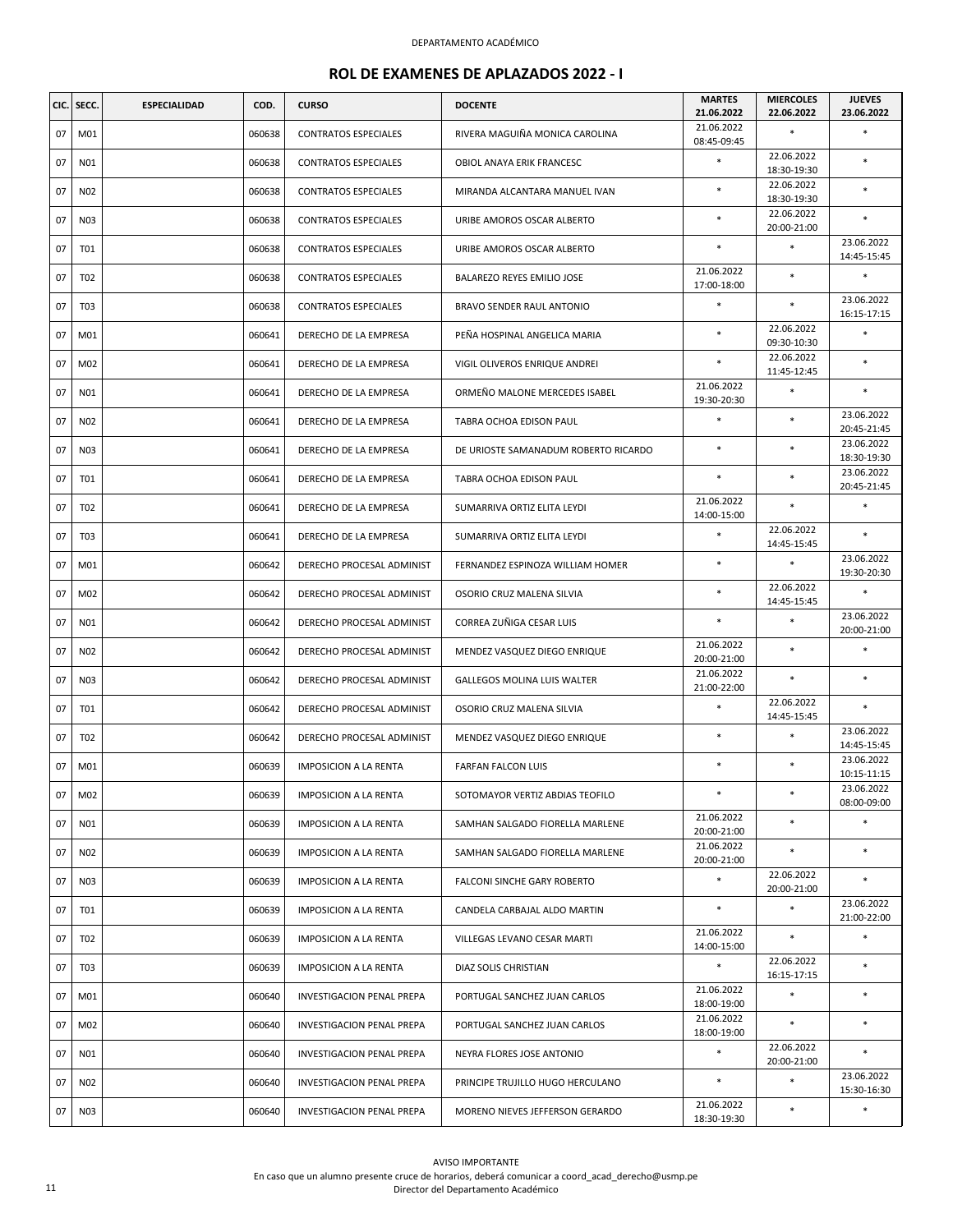| CIC. | SECC.           | <b>ESPECIALIDAD</b> | COD.   | <b>CURSO</b>                 | <b>DOCENTE</b>                       | <b>MARTES</b><br>21.06.2022 | <b>MIERCOLES</b><br>22.06.2022 | <b>JUEVES</b><br>23.06.2022 |
|------|-----------------|---------------------|--------|------------------------------|--------------------------------------|-----------------------------|--------------------------------|-----------------------------|
| 07   | M01             |                     | 060638 | <b>CONTRATOS ESPECIALES</b>  | RIVERA MAGUIÑA MONICA CAROLINA       | 21.06.2022<br>08:45-09:45   | $\ast$                         | *                           |
| 07   | N01             |                     | 060638 | <b>CONTRATOS ESPECIALES</b>  | OBIOL ANAYA ERIK FRANCESC            | $\ast$                      | 22.06.2022<br>18:30-19:30      | ×                           |
| 07   | N02             |                     | 060638 | <b>CONTRATOS ESPECIALES</b>  | MIRANDA ALCANTARA MANUEL IVAN        | $\ast$                      | 22.06.2022<br>18:30-19:30      | *                           |
| 07   | N03             |                     | 060638 | <b>CONTRATOS ESPECIALES</b>  | URIBE AMOROS OSCAR ALBERTO           | $\ast$                      | 22.06.2022<br>20:00-21:00      | $\ast$                      |
| 07   | <b>T01</b>      |                     | 060638 | <b>CONTRATOS ESPECIALES</b>  | URIBE AMOROS OSCAR ALBERTO           | $\ast$                      | $\ast$                         | 23.06.2022<br>14:45-15:45   |
| 07   | T <sub>02</sub> |                     | 060638 | <b>CONTRATOS ESPECIALES</b>  | BALAREZO REYES EMILIO JOSE           | 21.06.2022<br>17:00-18:00   | $\ast$                         | *                           |
| 07   | T <sub>03</sub> |                     | 060638 | <b>CONTRATOS ESPECIALES</b>  | <b>BRAVO SENDER RAUL ANTONIO</b>     | $\ast$                      | $\ast$                         | 23.06.2022<br>16:15-17:15   |
| 07   | M01             |                     | 060641 | DERECHO DE LA EMPRESA        | PEÑA HOSPINAL ANGELICA MARIA         | $\ast$                      | 22.06.2022<br>09:30-10:30      | $\ast$                      |
| 07   | M02             |                     | 060641 | DERECHO DE LA EMPRESA        | VIGIL OLIVEROS ENRIQUE ANDREI        | $\ast$                      | 22.06.2022<br>11:45-12:45      | $\ast$                      |
| 07   | N01             |                     | 060641 | DERECHO DE LA EMPRESA        | ORMEÑO MALONE MERCEDES ISABEL        | 21.06.2022<br>19:30-20:30   | $\ast$                         | $\ast$                      |
| 07   | N02             |                     | 060641 | DERECHO DE LA EMPRESA        | TABRA OCHOA EDISON PAUL              |                             | $\ast$                         | 23.06.2022<br>20:45-21:45   |
| 07   | N03             |                     | 060641 | DERECHO DE LA EMPRESA        | DE URIOSTE SAMANADUM ROBERTO RICARDO | *                           | $\ast$                         | 23.06.2022<br>18:30-19:30   |
| 07   | T01             |                     | 060641 | DERECHO DE LA EMPRESA        | <b>TABRA OCHOA EDISON PAUL</b>       | *                           | $\ast$                         | 23.06.2022<br>20:45-21:45   |
| 07   | T02             |                     | 060641 | DERECHO DE LA EMPRESA        | SUMARRIVA ORTIZ ELITA LEYDI          | 21.06.2022<br>14:00-15:00   | $\ast$                         | $\ast$                      |
| 07   | T <sub>03</sub> |                     | 060641 | DERECHO DE LA EMPRESA        | SUMARRIVA ORTIZ ELITA LEYDI          | $\ast$                      | 22.06.2022<br>14:45-15:45      | *                           |
| 07   | M01             |                     | 060642 | DERECHO PROCESAL ADMINIST    | FERNANDEZ ESPINOZA WILLIAM HOMER     | $\ast$                      | $\ast$                         | 23.06.2022<br>19:30-20:30   |
| 07   | M02             |                     | 060642 | DERECHO PROCESAL ADMINIST    | OSORIO CRUZ MALENA SILVIA            | $\ast$                      | 22.06.2022<br>14:45-15:45      | *                           |
| 07   | N01             |                     | 060642 | DERECHO PROCESAL ADMINIST    | CORREA ZUÑIGA CESAR LUIS             | $\ast$                      | $\ast$                         | 23.06.2022<br>20:00-21:00   |
| 07   | N02             |                     | 060642 | DERECHO PROCESAL ADMINIST    | MENDEZ VASQUEZ DIEGO ENRIQUE         | 21.06.2022<br>20:00-21:00   | $\ast$                         | *                           |
| 07   | N03             |                     | 060642 | DERECHO PROCESAL ADMINIST    | <b>GALLEGOS MOLINA LUIS WALTER</b>   | 21.06.2022<br>21:00-22:00   | $\ast$                         | $\ast$                      |
| 07   | T01             |                     | 060642 | DERECHO PROCESAL ADMINIST    | OSORIO CRUZ MALENA SILVIA            | $\ast$                      | 22.06.2022<br>14:45-15:45      | *                           |
| 07   | T02             |                     | 060642 | DERECHO PROCESAL ADMINIST    | MENDEZ VASQUEZ DIEGO ENRIQUE         | *                           | $\ast$                         | 23.06.2022<br>14:45-15:45   |
| 07   | M01             |                     | 060639 | <b>IMPOSICION A LA RENTA</b> | <b>FARFAN FALCON LUIS</b>            | $\ast$                      | $\ast$                         | 23.06.2022<br>10:15-11:15   |
| 07   | M02             |                     | 060639 | <b>IMPOSICION A LA RENTA</b> | SOTOMAYOR VERTIZ ABDIAS TEOFILO      | $\ast$                      | $\ast$                         | 23.06.2022<br>08:00-09:00   |
| 07   | N01             |                     | 060639 | <b>IMPOSICION A LA RENTA</b> | SAMHAN SALGADO FIORELLA MARLENE      | 21.06.2022<br>20:00-21:00   | $\ast$                         | *                           |
| 07   | N02             |                     | 060639 | <b>IMPOSICION A LA RENTA</b> | SAMHAN SALGADO FIORELLA MARLENE      | 21.06.2022<br>20:00-21:00   | $\ast$                         | $\ast$                      |
| 07   | N03             |                     | 060639 | <b>IMPOSICION A LA RENTA</b> | FALCONI SINCHE GARY ROBERTO          | $\ast$                      | 22.06.2022<br>20:00-21:00      | *                           |
| 07   | <b>T01</b>      |                     | 060639 | <b>IMPOSICION A LA RENTA</b> | CANDELA CARBAJAL ALDO MARTIN         | $\ast$                      | $\ast$                         | 23.06.2022<br>21:00-22:00   |
| 07   | T <sub>02</sub> |                     | 060639 | <b>IMPOSICION A LA RENTA</b> | VILLEGAS LEVANO CESAR MARTI          | 21.06.2022<br>14:00-15:00   | $\ast$                         | *                           |
| 07   | T03             |                     | 060639 | <b>IMPOSICION A LA RENTA</b> | DIAZ SOLIS CHRISTIAN                 | $\ast$                      | 22.06.2022<br>16:15-17:15      | *                           |
| 07   | M01             |                     | 060640 | INVESTIGACION PENAL PREPA    | PORTUGAL SANCHEZ JUAN CARLOS         | 21.06.2022<br>18:00-19:00   | $\ast$                         | *                           |
| 07   | M02             |                     | 060640 | INVESTIGACION PENAL PREPA    | PORTUGAL SANCHEZ JUAN CARLOS         | 21.06.2022<br>18:00-19:00   | $\ast$                         | $\ast$                      |
| 07   | N01             |                     | 060640 | INVESTIGACION PENAL PREPA    | NEYRA FLORES JOSE ANTONIO            | $\ast$                      | 22.06.2022<br>20:00-21:00      | $\ast$                      |
| 07   | N02             |                     | 060640 | INVESTIGACION PENAL PREPA    | PRINCIPE TRUJILLO HUGO HERCULANO     | *                           | $\ast$                         | 23.06.2022<br>15:30-16:30   |
|      | N03             |                     | 060640 | INVESTIGACION PENAL PREPA    | MORENO NIEVES JEFFERSON GERARDO      | 21.06.2022<br>18:30-19:30   | $\ast$                         | $\ast$                      |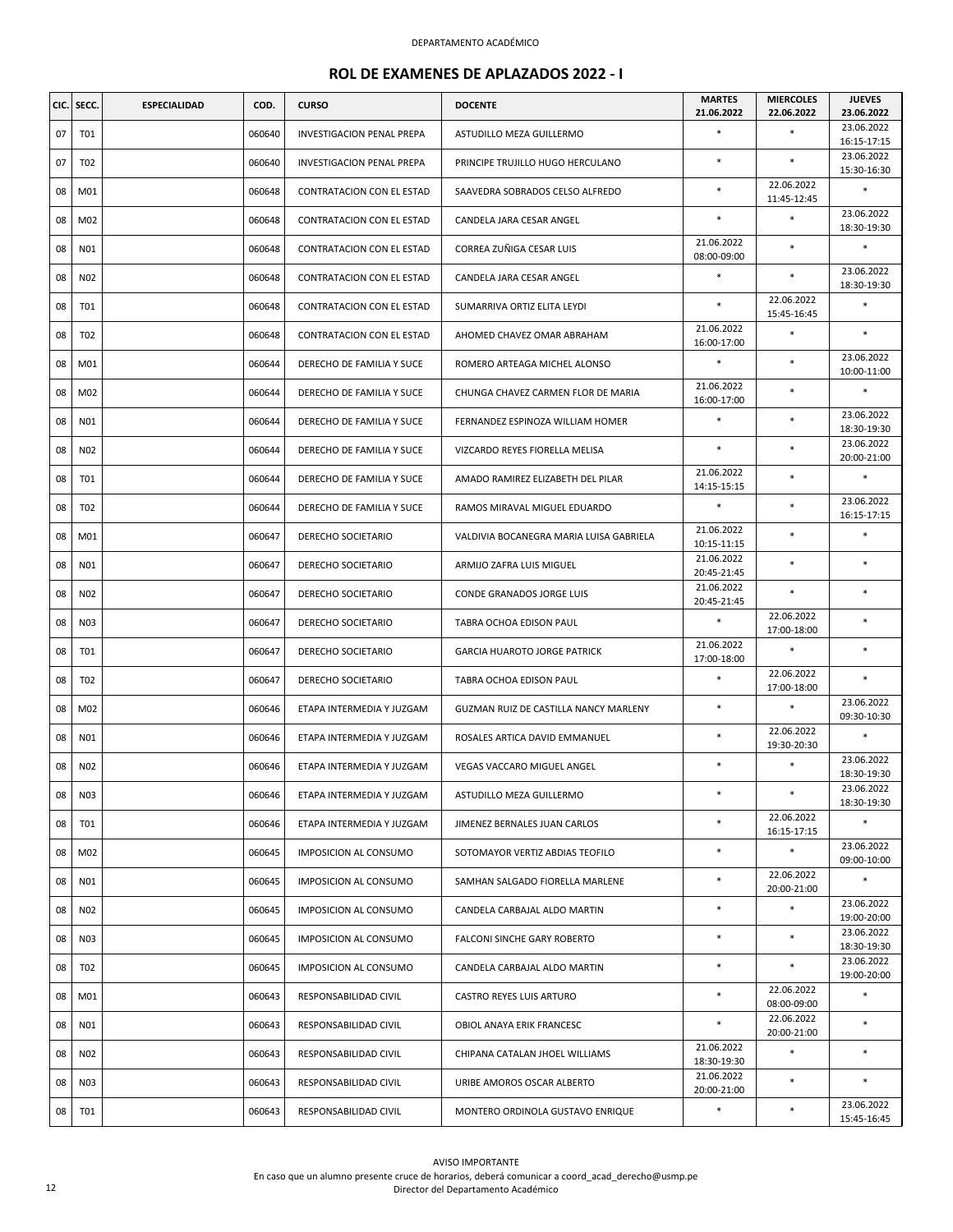| CIC. | SECC.           | <b>ESPECIALIDAD</b> | COD.   | <b>CURSO</b>                 | <b>DOCENTE</b>                          | <b>MARTES</b><br>21.06.2022 | <b>MIERCOLES</b><br>22.06.2022 | <b>JUEVES</b><br>23.06.2022 |
|------|-----------------|---------------------|--------|------------------------------|-----------------------------------------|-----------------------------|--------------------------------|-----------------------------|
| 07   | T01             |                     | 060640 | INVESTIGACION PENAL PREPA    | ASTUDILLO MEZA GUILLERMO                | $\ast$                      | $\ast$                         | 23.06.2022<br>16:15-17:15   |
| 07   | T <sub>02</sub> |                     | 060640 | INVESTIGACION PENAL PREPA    | PRINCIPE TRUJILLO HUGO HERCULANO        | $\ast$                      | $\ast$                         | 23.06.2022<br>15:30-16:30   |
| 08   | M01             |                     | 060648 | CONTRATACION CON EL ESTAD    | SAAVEDRA SOBRADOS CELSO ALFREDO         |                             | 22.06.2022<br>11:45-12:45      | $\ast$                      |
| 08   | M02             |                     | 060648 | CONTRATACION CON EL ESTAD    | CANDELA JARA CESAR ANGEL                | $\ast$                      | $\ast$                         | 23.06.2022<br>18:30-19:30   |
| 08   | N01             |                     | 060648 | CONTRATACION CON EL ESTAD    | CORREA ZUÑIGA CESAR LUIS                | 21.06.2022<br>08:00-09:00   | $\ast$                         | $\ast$                      |
| 08   | N02             |                     | 060648 | CONTRATACION CON EL ESTAD    | CANDELA JARA CESAR ANGEL                | $\ast$                      | $\ast$                         | 23.06.2022<br>18:30-19:30   |
| 08   | T01             |                     | 060648 | CONTRATACION CON EL ESTAD    | SUMARRIVA ORTIZ ELITA LEYDI             | $\ast$                      | 22.06.2022<br>15:45-16:45      | $\ast$                      |
| 08   | T <sub>02</sub> |                     | 060648 | CONTRATACION CON EL ESTAD    | AHOMED CHAVEZ OMAR ABRAHAM              | 21.06.2022<br>16:00-17:00   | $\ast$                         | $\ast$                      |
| 08   | M01             |                     | 060644 | DERECHO DE FAMILIA Y SUCE    | ROMERO ARTEAGA MICHEL ALONSO            |                             | *                              | 23.06.2022<br>10:00-11:00   |
| 08   | M02             |                     | 060644 | DERECHO DE FAMILIA Y SUCE    | CHUNGA CHAVEZ CARMEN FLOR DE MARIA      | 21.06.2022<br>16:00-17:00   | $\ast$                         | $\ast$                      |
| 08   | N01             |                     | 060644 | DERECHO DE FAMILIA Y SUCE    | FERNANDEZ ESPINOZA WILLIAM HOMER        |                             | $\ast$                         | 23.06.2022<br>18:30-19:30   |
| 08   | N02             |                     | 060644 | DERECHO DE FAMILIA Y SUCE    | VIZCARDO REYES FIORELLA MELISA          | $\ast$                      | $\ast$                         | 23.06.2022<br>20:00-21:00   |
| 08   | T01             |                     | 060644 | DERECHO DE FAMILIA Y SUCE    | AMADO RAMIREZ ELIZABETH DEL PILAR       | 21.06.2022<br>14:15-15:15   | *                              | $\ast$                      |
| 08   | T <sub>02</sub> |                     | 060644 | DERECHO DE FAMILIA Y SUCE    | RAMOS MIRAVAL MIGUEL EDUARDO            | $\ast$                      | $\ast$                         | 23.06.2022<br>16:15-17:15   |
| 08   | M01             |                     | 060647 | DERECHO SOCIETARIO           | VALDIVIA BOCANEGRA MARIA LUISA GABRIELA | 21.06.2022<br>10:15-11:15   | $\ast$                         | $\ast$                      |
| 08   | N01             |                     | 060647 | DERECHO SOCIETARIO           | ARMIJO ZAFRA LUIS MIGUEL                | 21.06.2022<br>20:45-21:45   | *                              | $\ast$                      |
| 08   | N02             |                     | 060647 | DERECHO SOCIETARIO           | CONDE GRANADOS JORGE LUIS               | 21.06.2022<br>20:45-21:45   | $\ast$                         | $\ast$                      |
| 08   | N03             |                     | 060647 | DERECHO SOCIETARIO           | TABRA OCHOA EDISON PAUL                 | $\ast$                      | 22.06.2022<br>17:00-18:00      | $\ast$                      |
| 08   | T01             |                     | 060647 | DERECHO SOCIETARIO           | <b>GARCIA HUAROTO JORGE PATRICK</b>     | 21.06.2022<br>17:00-18:00   | *                              | $\ast$                      |
| 08   | T <sub>02</sub> |                     | 060647 | DERECHO SOCIETARIO           | TABRA OCHOA EDISON PAUL                 | $\ast$                      | 22.06.2022<br>17:00-18:00      |                             |
| 08   | M02             |                     | 060646 | ETAPA INTERMEDIA Y JUZGAM    | GUZMAN RUIZ DE CASTILLA NANCY MARLENY   | $\ast$                      | $\ast$                         | 23.06.2022<br>09:30-10:30   |
| 08   | N01             |                     | 060646 | ETAPA INTERMEDIA Y JUZGAM    | ROSALES ARTICA DAVID EMMANUEL           |                             | 22.06.2022<br>19:30-20:30      | $\ast$                      |
| 08   | N02             |                     | 060646 | ETAPA INTERMEDIA Y JUZGAM    | VEGAS VACCARO MIGUEL ANGEL              | $\ast$                      | $\ast$                         | 23.06.2022<br>18:30-19:30   |
| 08   | N03             |                     | 060646 | ETAPA INTERMEDIA Y JUZGAM    | ASTUDILLO MEZA GUILLERMO                | $\ast$                      | *                              | 23.06.2022<br>18:30-19:30   |
| 08   | T01             |                     | 060646 | ETAPA INTERMEDIA Y JUZGAM    | JIMENEZ BERNALES JUAN CARLOS            |                             | 22.06.2022<br>16:15-17:15      |                             |
| 08   | M02             |                     | 060645 | IMPOSICION AL CONSUMO        | SOTOMAYOR VERTIZ ABDIAS TEOFILO         | $\ast$                      | $\ast$                         | 23.06.2022<br>09:00-10:00   |
| 08   | N01             |                     | 060645 | IMPOSICION AL CONSUMO        | SAMHAN SALGADO FIORELLA MARLENE         | $\ast$                      | 22.06.2022<br>20:00-21:00      | $\ast$                      |
| 08   | N02             |                     | 060645 | IMPOSICION AL CONSUMO        | CANDELA CARBAJAL ALDO MARTIN            | $\ast$                      | $\ast$                         | 23.06.2022<br>19:00-20:00   |
| 08   | N03             |                     | 060645 | <b>IMPOSICION AL CONSUMO</b> | FALCONI SINCHE GARY ROBERTO             | $\ast$                      | $\ast$                         | 23.06.2022<br>18:30-19:30   |
| 08   | T <sub>02</sub> |                     | 060645 | IMPOSICION AL CONSUMO        | CANDELA CARBAJAL ALDO MARTIN            | $\ast$                      | $\ast$                         | 23.06.2022<br>19:00-20:00   |
| 08   | M01             |                     | 060643 | RESPONSABILIDAD CIVIL        | CASTRO REYES LUIS ARTURO                | $\ast$                      | 22.06.2022<br>08:00-09:00      | $\ast$                      |
| 08   | N01             |                     | 060643 | RESPONSABILIDAD CIVIL        | OBIOL ANAYA ERIK FRANCESC               | $\ast$                      | 22.06.2022<br>20:00-21:00      | $\ast$                      |
| 08   | N02             |                     | 060643 | RESPONSABILIDAD CIVIL        | CHIPANA CATALAN JHOEL WILLIAMS          | 21.06.2022<br>18:30-19:30   | $\ast$                         | $\ast$                      |
| 08   | N03             |                     | 060643 | RESPONSABILIDAD CIVIL        | URIBE AMOROS OSCAR ALBERTO              | 21.06.2022<br>20:00-21:00   | *                              | $\ast$                      |
| 08   | T01             |                     | 060643 | RESPONSABILIDAD CIVIL        | MONTERO ORDINOLA GUSTAVO ENRIQUE        | $\ast$                      | $\ast$                         | 23.06.2022<br>15:45-16:45   |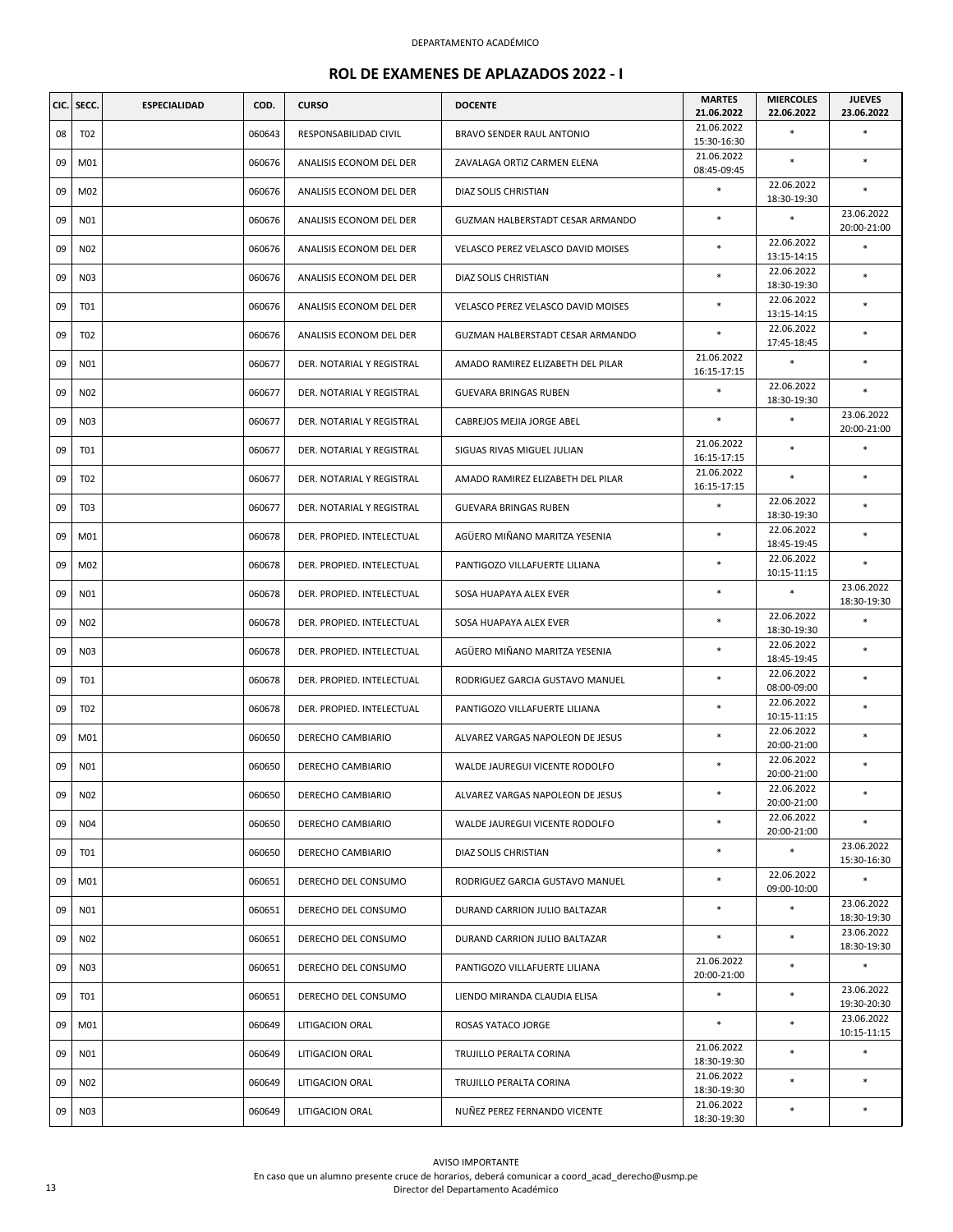| CIC. | SECC.           | <b>ESPECIALIDAD</b> | COD.   | <b>CURSO</b>              | <b>DOCENTE</b>                     | <b>MARTES</b><br>21.06.2022 | <b>MIERCOLES</b><br>22.06.2022 | <b>JUEVES</b><br>23.06.2022 |
|------|-----------------|---------------------|--------|---------------------------|------------------------------------|-----------------------------|--------------------------------|-----------------------------|
| 08   | T02             |                     | 060643 | RESPONSABILIDAD CIVIL     | <b>BRAVO SENDER RAUL ANTONIO</b>   | 21.06.2022<br>15:30-16:30   |                                | *                           |
| 09   | M01             |                     | 060676 | ANALISIS ECONOM DEL DER   | ZAVALAGA ORTIZ CARMEN ELENA        | 21.06.2022<br>08:45-09:45   | $\ast$                         | $\ast$                      |
| 09   | M02             |                     | 060676 | ANALISIS ECONOM DEL DER   | DIAZ SOLIS CHRISTIAN               | $\ast$                      | 22.06.2022<br>18:30-19:30      | *                           |
| 09   | N01             |                     | 060676 | ANALISIS ECONOM DEL DER   | GUZMAN HALBERSTADT CESAR ARMANDO   | $\ast$                      | $\ast$                         | 23.06.2022<br>20:00-21:00   |
| 09   | N02             |                     | 060676 | ANALISIS ECONOM DEL DER   | VELASCO PEREZ VELASCO DAVID MOISES | $\ast$                      | 22.06.2022<br>13:15-14:15      | *                           |
| 09   | N03             |                     | 060676 | ANALISIS ECONOM DEL DER   | DIAZ SOLIS CHRISTIAN               | $\ast$                      | 22.06.2022<br>18:30-19:30      | *                           |
| 09   | <b>T01</b>      |                     | 060676 | ANALISIS ECONOM DEL DER   | VELASCO PEREZ VELASCO DAVID MOISES | $\ast$                      | 22.06.2022<br>13:15-14:15      | *                           |
| 09   | T02             |                     | 060676 | ANALISIS ECONOM DEL DER   | GUZMAN HALBERSTADT CESAR ARMANDO   | $\ast$                      | 22.06.2022<br>17:45-18:45      | $\ast$                      |
| 09   | N01             |                     | 060677 | DER. NOTARIAL Y REGISTRAL | AMADO RAMIREZ ELIZABETH DEL PILAR  | 21.06.2022<br>16:15-17:15   | $\ast$                         | *                           |
| 09   | N02             |                     | 060677 | DER. NOTARIAL Y REGISTRAL | <b>GUEVARA BRINGAS RUBEN</b>       | $\ast$                      | 22.06.2022<br>18:30-19:30      | *                           |
| 09   | N03             |                     | 060677 | DER. NOTARIAL Y REGISTRAL | CABREJOS MEJIA JORGE ABEL          | $\ast$                      | $\ast$                         | 23.06.2022<br>20:00-21:00   |
| 09   | T01             |                     | 060677 | DER. NOTARIAL Y REGISTRAL | SIGUAS RIVAS MIGUEL JULIAN         | 21.06.2022<br>16:15-17:15   | $\ast$                         | $\ast$                      |
| 09   | T <sub>02</sub> |                     | 060677 | DER. NOTARIAL Y REGISTRAL | AMADO RAMIREZ ELIZABETH DEL PILAR  | 21.06.2022<br>16:15-17:15   | $\ast$                         | $\ast$                      |
| 09   | T <sub>03</sub> |                     | 060677 | DER. NOTARIAL Y REGISTRAL | GUEVARA BRINGAS RUBEN              | $\ast$                      | 22.06.2022<br>18:30-19:30      | *                           |
| 09   | M01             |                     | 060678 | DER. PROPIED. INTELECTUAL | AGÜERO MIÑANO MARITZA YESENIA      | $\ast$                      | 22.06.2022<br>18:45-19:45      | $\ast$                      |
| 09   | M02             |                     | 060678 | DER. PROPIED. INTELECTUAL | PANTIGOZO VILLAFUERTE LILIANA      | $\ast$                      | 22.06.2022<br>10:15-11:15      | $\ast$                      |
| 09   | N01             |                     | 060678 | DER. PROPIED. INTELECTUAL | SOSA HUAPAYA ALEX EVER             | $\ast$                      | $\ast$                         | 23.06.2022<br>18:30-19:30   |
| 09   | N02             |                     | 060678 | DER. PROPIED. INTELECTUAL | SOSA HUAPAYA ALEX EVER             | $\ast$                      | 22.06.2022<br>18:30-19:30      | $\ast$                      |
| 09   | N03             |                     | 060678 | DER. PROPIED. INTELECTUAL | AGÜERO MIÑANO MARITZA YESENIA      | $\ast$                      | 22.06.2022<br>18:45-19:45      | *                           |
| 09   | <b>T01</b>      |                     | 060678 | DER. PROPIED. INTELECTUAL | RODRIGUEZ GARCIA GUSTAVO MANUEL    | $\ast$                      | 22.06.2022<br>08:00-09:00      | $\ast$                      |
| 09   | T02             |                     | 060678 | DER. PROPIED. INTELECTUAL | PANTIGOZO VILLAFUERTE LILIANA      | $\ast$                      | 22.06.2022<br>10:15-11:15      | *                           |
| 09   | M01             |                     | 060650 | DERECHO CAMBIARIO         | ALVAREZ VARGAS NAPOLEON DE JESUS   | $\ast$                      | 22.06.2022<br>20:00-21:00      | $\ast$                      |
| 09   | N01             |                     | 060650 | DERECHO CAMBIARIO         | WALDE JAUREGUI VICENTE RODOLFO     | $\ast$                      | 22.06.2022<br>20:00-21:00      | $\ast$                      |
| 09   | N02             |                     | 060650 | DERECHO CAMBIARIO         | ALVAREZ VARGAS NAPOLEON DE JESUS   | $\ast$                      | 22.06.2022<br>20:00-21:00      | *                           |
| 09   | N <sub>04</sub> |                     | 060650 | DERECHO CAMBIARIO         | WALDE JAUREGUI VICENTE RODOLFO     | $\ast$                      | 22.06.2022<br>20:00-21:00      | *                           |
| 09   | T01             |                     | 060650 | DERECHO CAMBIARIO         | DIAZ SOLIS CHRISTIAN               | $\ast$                      | $\ast$                         | 23.06.2022<br>15:30-16:30   |
| 09   | M01             |                     | 060651 | DERECHO DEL CONSUMO       | RODRIGUEZ GARCIA GUSTAVO MANUEL    | *                           | 22.06.2022<br>09:00-10:00      | *                           |
| 09   | N01             |                     | 060651 | DERECHO DEL CONSUMO       | DURAND CARRION JULIO BALTAZAR      | $\ast$                      | $\ast$                         | 23.06.2022<br>18:30-19:30   |
| 09   | N02             |                     | 060651 | DERECHO DEL CONSUMO       | DURAND CARRION JULIO BALTAZAR      | $\ast$                      | $\ast$                         | 23.06.2022<br>18:30-19:30   |
| 09   | N03             |                     | 060651 | DERECHO DEL CONSUMO       | PANTIGOZO VILLAFUERTE LILIANA      | 21.06.2022<br>20:00-21:00   | $\ast$                         | $\ast$                      |
| 09   | <b>T01</b>      |                     | 060651 | DERECHO DEL CONSUMO       | LIENDO MIRANDA CLAUDIA ELISA       | $\ast$                      | $\ast$                         | 23.06.2022<br>19:30-20:30   |
| 09   | M01             |                     | 060649 | LITIGACION ORAL           | ROSAS YATACO JORGE                 | $\ast$                      | $\ast$                         | 23.06.2022<br>10:15-11:15   |
| 09   | N01             |                     | 060649 | LITIGACION ORAL           | TRUJILLO PERALTA CORINA            | 21.06.2022<br>18:30-19:30   | $\ast$                         | $\ast$                      |
| 09   | N02             |                     | 060649 | LITIGACION ORAL           | TRUJILLO PERALTA CORINA            | 21.06.2022<br>18:30-19:30   | $\ast$                         | *                           |
| 09   | N03             |                     | 060649 | LITIGACION ORAL           | NUÑEZ PEREZ FERNANDO VICENTE       | 21.06.2022<br>18:30-19:30   | $\ast$                         | $\ast$                      |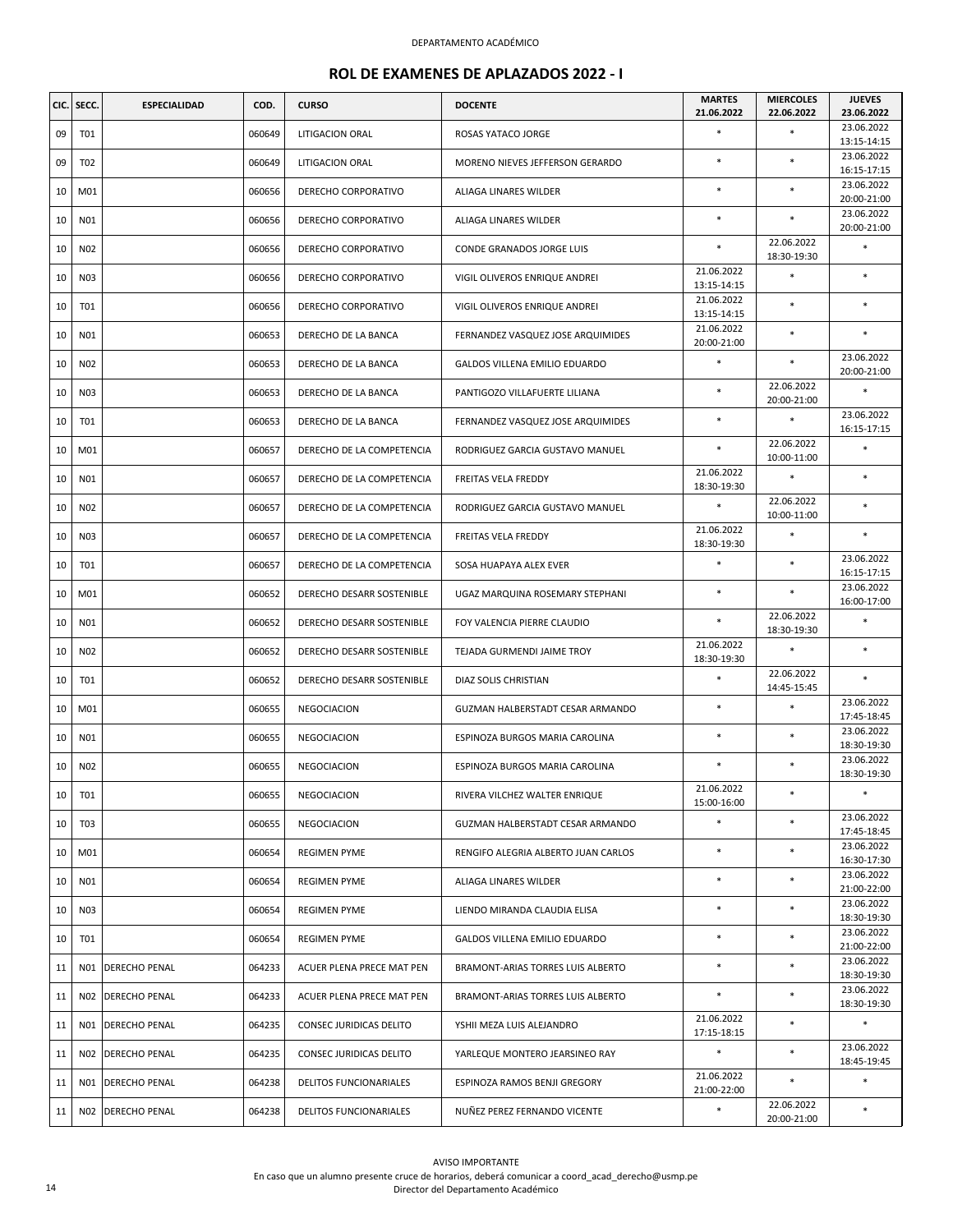| CIC. | SECC.           | ESPECIALIDAD         | COD.   | <b>CURSO</b>              | <b>DOCENTE</b>                      | <b>MARTES</b><br>21.06.2022 | <b>MIERCOLES</b><br>22.06.2022 | <b>JUEVES</b><br>23.06.2022              |
|------|-----------------|----------------------|--------|---------------------------|-------------------------------------|-----------------------------|--------------------------------|------------------------------------------|
| 09   | T01             |                      | 060649 | LITIGACION ORAL           | ROSAS YATACO JORGE                  | $\ast$                      | $\ast$                         | 23.06.2022                               |
| 09   | T <sub>02</sub> |                      | 060649 | LITIGACION ORAL           | MORENO NIEVES JEFFERSON GERARDO     | $\ast$                      | $\ast$                         | 13:15-14:15<br>23.06.2022                |
| 10   | M01             |                      | 060656 | DERECHO CORPORATIVO       | ALIAGA LINARES WILDER               | $\ast$                      | $\ast$                         | 16:15-17:15<br>23.06.2022                |
|      |                 |                      |        |                           |                                     |                             |                                | 20:00-21:00<br>23.06.2022                |
| 10   | N01             |                      | 060656 | DERECHO CORPORATIVO       | ALIAGA LINARES WILDER               | $\ast$                      | $\ast$<br>22.06.2022           | 20:00-21:00                              |
| 10   | N02             |                      | 060656 | DERECHO CORPORATIVO       | CONDE GRANADOS JORGE LUIS           | $\ast$                      | 18:30-19:30                    | $\ast$                                   |
| 10   | N03             |                      | 060656 | DERECHO CORPORATIVO       | VIGIL OLIVEROS ENRIQUE ANDREI       | 21.06.2022<br>13:15-14:15   | $\ast$                         | $\ast$                                   |
| 10   | <b>T01</b>      |                      | 060656 | DERECHO CORPORATIVO       | VIGIL OLIVEROS ENRIQUE ANDREI       | 21.06.2022<br>13:15-14:15   | $\ast$                         | $\ast$                                   |
| 10   | N01             |                      | 060653 | DERECHO DE LA BANCA       | FERNANDEZ VASQUEZ JOSE ARQUIMIDES   | 21.06.2022<br>20:00-21:00   | $\ast$                         | $\ast$                                   |
| 10   | N02             |                      | 060653 | DERECHO DE LA BANCA       | GALDOS VILLENA EMILIO EDUARDO       | $\ast$                      | $\ast$                         | 23.06.2022<br>20:00-21:00                |
| 10   | N03             |                      | 060653 | DERECHO DE LA BANCA       | PANTIGOZO VILLAFUERTE LILIANA       | $\ast$                      | 22.06.2022<br>20:00-21:00      | $\ast$                                   |
| 10   | T01             |                      | 060653 | DERECHO DE LA BANCA       | FERNANDEZ VASQUEZ JOSE ARQUIMIDES   | $\ast$                      | $\ast$                         | 23.06.2022<br>16:15-17:15                |
| 10   | M01             |                      | 060657 | DERECHO DE LA COMPETENCIA | RODRIGUEZ GARCIA GUSTAVO MANUEL     | $\ast$                      | 22.06.2022<br>10:00-11:00      | $\ast$                                   |
| 10   | N01             |                      | 060657 | DERECHO DE LA COMPETENCIA | FREITAS VELA FREDDY                 | 21.06.2022<br>18:30-19:30   | $\ast$                         | $\ast$                                   |
| 10   | N02             |                      | 060657 | DERECHO DE LA COMPETENCIA | RODRIGUEZ GARCIA GUSTAVO MANUEL     | $\ast$                      | 22.06.2022<br>10:00-11:00      | $\ast$                                   |
| 10   | N03             |                      | 060657 | DERECHO DE LA COMPETENCIA | FREITAS VELA FREDDY                 | 21.06.2022<br>18:30-19:30   | *                              | $\ast$                                   |
| 10   | T01             |                      | 060657 | DERECHO DE LA COMPETENCIA | SOSA HUAPAYA ALEX EVER              | $\ast$                      | $\ast$                         | 23.06.2022<br>16:15-17:15                |
| 10   | M01             |                      | 060652 | DERECHO DESARR SOSTENIBLE | UGAZ MARQUINA ROSEMARY STEPHANI     | $\ast$                      | $\ast$                         | 23.06.2022<br>16:00-17:00                |
| 10   | N01             |                      | 060652 | DERECHO DESARR SOSTENIBLE | FOY VALENCIA PIERRE CLAUDIO         | $\ast$                      | 22.06.2022<br>18:30-19:30      | $\ast$                                   |
| 10   | N02             |                      | 060652 | DERECHO DESARR SOSTENIBLE | TEJADA GURMENDI JAIME TROY          | 21.06.2022<br>18:30-19:30   | $\ast$                         | $\ast$                                   |
| 10   | <b>T01</b>      |                      | 060652 | DERECHO DESARR SOSTENIBLE | DIAZ SOLIS CHRISTIAN                | $\ast$                      | 22.06.2022<br>14:45-15:45      | $\ast$                                   |
| 10   | M01             |                      | 060655 | NEGOCIACION               | GUZMAN HALBERSTADT CESAR ARMANDO    | $\ast$                      | $\ast$                         | 23.06.2022<br>17:45-18:45                |
| 10   | N01             |                      | 060655 | NEGOCIACION               | ESPINOZA BURGOS MARIA CAROLINA      | $\ast$                      | $\ast$                         | 23.06.2022<br>18:30-19:30                |
| 10   | N02             |                      | 060655 | NEGOCIACION               | ESPINOZA BURGOS MARIA CAROLINA      |                             | $\ast$                         | 23.06.2022<br>18:30-19:30                |
| 10   | <b>T01</b>      |                      | 060655 | NEGOCIACION               | RIVERA VILCHEZ WALTER ENRIQUE       | 21.06.2022<br>15:00-16:00   | *                              | $\ast$                                   |
| 10   | T03             |                      | 060655 | NEGOCIACION               | GUZMAN HALBERSTADT CESAR ARMANDO    |                             | $\ast$                         | 23.06.2022<br>17:45-18:45                |
| 10   | M01             |                      | 060654 | <b>REGIMEN PYME</b>       | RENGIFO ALEGRIA ALBERTO JUAN CARLOS | $\ast$                      | $\ast$                         | 23.06.2022<br>16:30-17:30                |
| 10   | N01             |                      | 060654 | <b>REGIMEN PYME</b>       | ALIAGA LINARES WILDER               | $\ast$                      | *                              | 23.06.2022<br>21:00-22:00                |
| 10   | N03             |                      | 060654 | <b>REGIMEN PYME</b>       | LIENDO MIRANDA CLAUDIA ELISA        | $\ast$                      | $\ast$                         | 23.06.2022<br>18:30-19:30                |
| 10   | <b>T01</b>      |                      | 060654 | <b>REGIMEN PYME</b>       | GALDOS VILLENA EMILIO EDUARDO       | $\ast$                      | $\ast$                         | 23.06.2022<br>21:00-22:00                |
| 11   | N01             | <b>DERECHO PENAL</b> | 064233 | ACUER PLENA PRECE MAT PEN | BRAMONT-ARIAS TORRES LUIS ALBERTO   | $\ast$                      | $\ast$                         | 23.06.2022                               |
| 11   | N02             | <b>DERECHO PENAL</b> | 064233 | ACUER PLENA PRECE MAT PEN | BRAMONT-ARIAS TORRES LUIS ALBERTO   | $\ast$                      | $\ast$                         | 18:30-19:30<br>23.06.2022<br>18:30-19:30 |
| 11   | N01             | DERECHO PENAL        | 064235 | CONSEC JURIDICAS DELITO   | YSHII MEZA LUIS ALEJANDRO           | 21.06.2022<br>17:15-18:15   | $\ast$                         | $\ast$                                   |
| 11   | N02             | DERECHO PENAL        | 064235 | CONSEC JURIDICAS DELITO   | YARLEQUE MONTERO JEARSINEO RAY      | $\ast$                      | $\ast$                         | 23.06.2022<br>18:45-19:45                |
| 11   | N01             | <b>DERECHO PENAL</b> | 064238 | DELITOS FUNCIONARIALES    | ESPINOZA RAMOS BENJI GREGORY        | 21.06.2022<br>21:00-22:00   | *                              | $\ast$                                   |
| 11   | N02             | <b>DERECHO PENAL</b> | 064238 | DELITOS FUNCIONARIALES    | NUÑEZ PEREZ FERNANDO VICENTE        | $\ast$                      | 22.06.2022<br>20:00-21:00      | $\ast$                                   |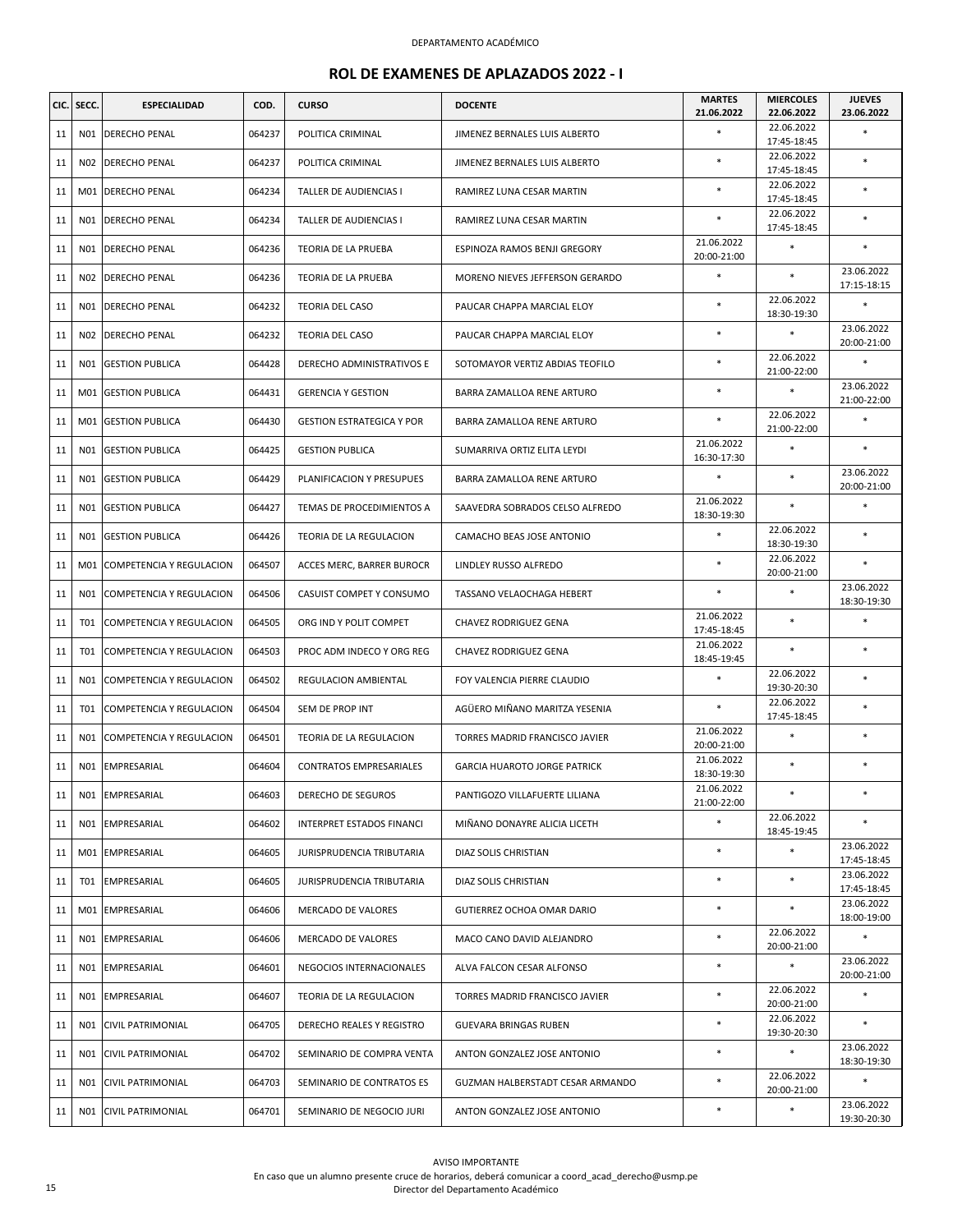|    | CIC. SECC. | <b>ESPECIALIDAD</b>      | COD.   | <b>CURSO</b>                     | <b>DOCENTE</b>                      | <b>MARTES</b><br>21.06.2022 | <b>MIERCOLES</b><br>22.06.2022 | <b>JUEVES</b><br>23.06.2022 |
|----|------------|--------------------------|--------|----------------------------------|-------------------------------------|-----------------------------|--------------------------------|-----------------------------|
| 11 | N01        | DERECHO PENAL            | 064237 | POLITICA CRIMINAL                | JIMENEZ BERNALES LUIS ALBERTO       | $\ast$                      | 22.06.2022<br>17:45-18:45      | ×                           |
| 11 | N02        | DERECHO PENAL            | 064237 | POLITICA CRIMINAL                | JIMENEZ BERNALES LUIS ALBERTO       | $\ast$                      | 22.06.2022<br>17:45-18:45      | ×                           |
| 11 |            | M01 DERECHO PENAL        | 064234 | TALLER DE AUDIENCIAS I           | RAMIREZ LUNA CESAR MARTIN           | $\ast$                      | 22.06.2022<br>17:45-18:45      | *                           |
| 11 | N01        | DERECHO PENAL            | 064234 | TALLER DE AUDIENCIAS I           | RAMIREZ LUNA CESAR MARTIN           | $\ast$                      | 22.06.2022<br>17:45-18:45      | $\ast$                      |
| 11 |            | NO1 DERECHO PENAL        | 064236 | TEORIA DE LA PRUEBA              | ESPINOZA RAMOS BENJI GREGORY        | 21.06.2022<br>20:00-21:00   | $\ast$                         | $\ast$                      |
| 11 | N02        | <b>DERECHO PENAL</b>     | 064236 | TEORIA DE LA PRUEBA              | MORENO NIEVES JEFFERSON GERARDO     | $\ast$                      | $\ast$                         | 23.06.2022<br>17:15-18:15   |
| 11 | N01        | DERECHO PENAL            | 064232 | <b>TEORIA DEL CASO</b>           | PAUCAR CHAPPA MARCIAL ELOY          | $\ast$                      | 22.06.2022<br>18:30-19:30      | *                           |
| 11 | N02        | DERECHO PENAL            | 064232 | <b>TEORIA DEL CASO</b>           | PAUCAR CHAPPA MARCIAL ELOY          | $\ast$                      | $\ast$                         | 23.06.2022<br>20:00-21:00   |
| 11 | N01        | <b>GESTION PUBLICA</b>   | 064428 | DERECHO ADMINISTRATIVOS E        | SOTOMAYOR VERTIZ ABDIAS TEOFILO     | $\ast$                      | 22.06.2022<br>21:00-22:00      | ×                           |
| 11 | M01        | <b>GESTION PUBLICA</b>   | 064431 | <b>GERENCIA Y GESTION</b>        | BARRA ZAMALLOA RENE ARTURO          | $\ast$                      | $\ast$                         | 23.06.2022<br>21:00-22:00   |
| 11 | M01        | <b>GESTION PUBLICA</b>   | 064430 | <b>GESTION ESTRATEGICA Y POR</b> | BARRA ZAMALLOA RENE ARTURO          | $\ast$                      | 22.06.2022<br>21:00-22:00      | ×                           |
| 11 | N01        | <b>GESTION PUBLICA</b>   | 064425 | <b>GESTION PUBLICA</b>           | SUMARRIVA ORTIZ ELITA LEYDI         | 21.06.2022<br>16:30-17:30   | $\ast$                         | *                           |
| 11 | N01        | <b>GESTION PUBLICA</b>   | 064429 | PLANIFICACION Y PRESUPUES        | BARRA ZAMALLOA RENE ARTURO          | $\ast$                      | $\ast$                         | 23.06.2022<br>20:00-21:00   |
| 11 | N01        | <b>GESTION PUBLICA</b>   | 064427 | TEMAS DE PROCEDIMIENTOS A        | SAAVEDRA SOBRADOS CELSO ALFREDO     | 21.06.2022<br>18:30-19:30   | $\ast$                         | ×                           |
| 11 | N01        | <b>GESTION PUBLICA</b>   | 064426 | TEORIA DE LA REGULACION          | CAMACHO BEAS JOSE ANTONIO           | $\ast$                      | 22.06.2022<br>18:30-19:30      | $\ast$                      |
| 11 | M01        | COMPETENCIA Y REGULACION | 064507 | ACCES MERC, BARRER BUROCR        | LINDLEY RUSSO ALFREDO               | $\ast$                      | 22.06.2022<br>20:00-21:00      | $\ast$                      |
| 11 | N01        | COMPETENCIA Y REGULACION | 064506 | CASUIST COMPET Y CONSUMO         | TASSANO VELAOCHAGA HEBERT           | $\ast$                      | $\ast$                         | 23.06.2022<br>18:30-19:30   |
| 11 | T01        | COMPETENCIA Y REGULACION | 064505 | ORG IND Y POLIT COMPET           | CHAVEZ RODRIGUEZ GENA               | 21.06.2022<br>17:45-18:45   | $\ast$                         | $\ast$                      |
| 11 | T01        | COMPETENCIA Y REGULACION | 064503 | PROC ADM INDECO Y ORG REG        | CHAVEZ RODRIGUEZ GENA               | 21.06.2022<br>18:45-19:45   | $\ast$                         | *                           |
| 11 | N01        | COMPETENCIA Y REGULACION | 064502 | REGULACION AMBIENTAL             | FOY VALENCIA PIERRE CLAUDIO         | $\ast$                      | 22.06.2022<br>19:30-20:30      | $\ast$                      |
| 11 | T01        | COMPETENCIA Y REGULACION | 064504 | SEM DE PROP INT                  | AGÜERO MIÑANO MARITZA YESENIA       | $\ast$                      | 22.06.2022<br>17:45-18:45      | *                           |
| 11 | N01        | COMPETENCIA Y REGULACION | 064501 | TEORIA DE LA REGULACION          | TORRES MADRID FRANCISCO JAVIER      | 21.06.2022<br>20:00-21:00   | $\ast$                         | *                           |
| 11 | N01        | EMPRESARIAL              | 064604 | CONTRATOS EMPRESARIALES          | <b>GARCIA HUAROTO JORGE PATRICK</b> | 21.06.2022<br>18:30-19:30   | $\ast$                         | $\ast$                      |
| 11 |            | NO1 EMPRESARIAL          | 064603 | DERECHO DE SEGUROS               | PANTIGOZO VILLAFUERTE LILIANA       | 21.06.2022<br>21:00-22:00   | $\ast$                         | *                           |
| 11 | N01        | EMPRESARIAL              | 064602 | INTERPRET ESTADOS FINANCI        | MIÑANO DONAYRE ALICIA LICETH        |                             | 22.06.2022<br>18:45-19:45      | *                           |
| 11 |            | M01 EMPRESARIAL          | 064605 | <b>JURISPRUDENCIA TRIBUTARIA</b> | DIAZ SOLIS CHRISTIAN                | $\ast$                      | $\ast$                         | 23.06.2022<br>17:45-18:45   |
| 11 | <b>T01</b> | EMPRESARIAL              | 064605 | JURISPRUDENCIA TRIBUTARIA        | DIAZ SOLIS CHRISTIAN                | $\ast$                      | $\ast$                         | 23.06.2022<br>17:45-18:45   |
| 11 |            | M01 EMPRESARIAL          | 064606 | MERCADO DE VALORES               | GUTIERREZ OCHOA OMAR DARIO          | $\ast$                      | $\ast$                         | 23.06.2022<br>18:00-19:00   |
| 11 | N01        | EMPRESARIAL              | 064606 | <b>MERCADO DE VALORES</b>        | MACO CANO DAVID ALEJANDRO           | $\ast$                      | 22.06.2022<br>20:00-21:00      | *                           |
| 11 |            | N01 EMPRESARIAL          | 064601 | NEGOCIOS INTERNACIONALES         | ALVA FALCON CESAR ALFONSO           | $\ast$                      | *                              | 23.06.2022<br>20:00-21:00   |
| 11 | N01        | EMPRESARIAL              | 064607 | TEORIA DE LA REGULACION          | TORRES MADRID FRANCISCO JAVIER      | $\ast$                      | 22.06.2022<br>20:00-21:00      | *                           |
| 11 | N01        | <b>CIVIL PATRIMONIAL</b> | 064705 | DERECHO REALES Y REGISTRO        | GUEVARA BRINGAS RUBEN               | $\ast$                      | 22.06.2022<br>19:30-20:30      | *                           |
| 11 | N01        | CIVIL PATRIMONIAL        | 064702 | SEMINARIO DE COMPRA VENTA        | ANTON GONZALEZ JOSE ANTONIO         | $\ast$                      | $\ast$                         | 23.06.2022<br>18:30-19:30   |
| 11 | N01        | <b>CIVIL PATRIMONIAL</b> | 064703 | SEMINARIO DE CONTRATOS ES        | GUZMAN HALBERSTADT CESAR ARMANDO    | $\ast$                      | 22.06.2022<br>20:00-21:00      | *                           |
| 11 | N01        | <b>CIVIL PATRIMONIAL</b> | 064701 | SEMINARIO DE NEGOCIO JURI        | ANTON GONZALEZ JOSE ANTONIO         | $\ast$                      | $\ast$                         | 23.06.2022<br>19:30-20:30   |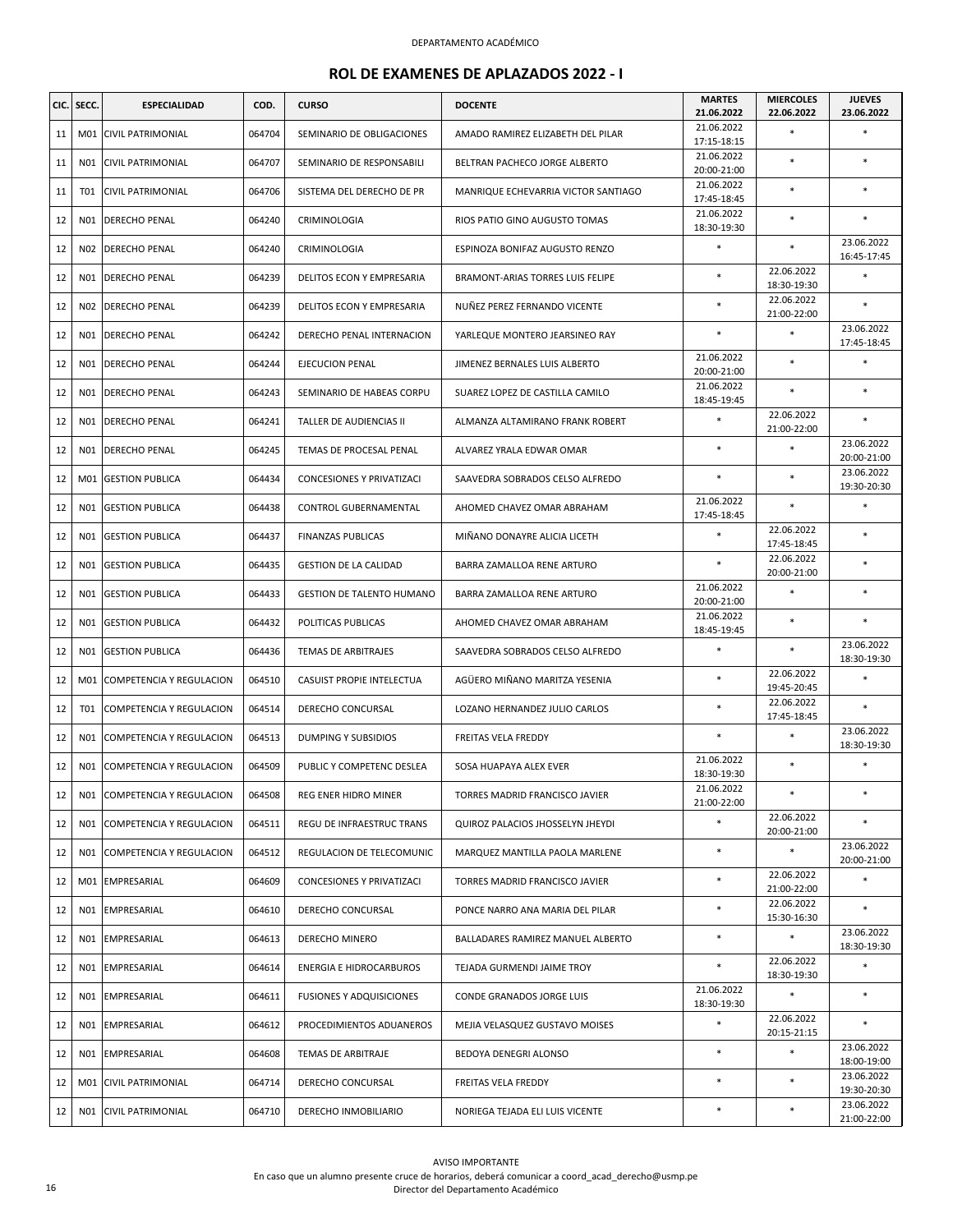|    | CIC. SECC.      | <b>ESPECIALIDAD</b>          | COD.   | <b>CURSO</b>                     | <b>DOCENTE</b>                      | <b>MARTES</b><br>21.06.2022 | <b>MIERCOLES</b><br>22.06.2022 | <b>JUEVES</b><br>23.06.2022 |
|----|-----------------|------------------------------|--------|----------------------------------|-------------------------------------|-----------------------------|--------------------------------|-----------------------------|
| 11 | M01             | <b>CIVIL PATRIMONIAL</b>     | 064704 | SEMINARIO DE OBLIGACIONES        | AMADO RAMIREZ ELIZABETH DEL PILAR   | 21.06.2022<br>17:15-18:15   | $\ast$                         | *                           |
| 11 | N01             | <b>CIVIL PATRIMONIAL</b>     | 064707 | SEMINARIO DE RESPONSABILI        | BELTRAN PACHECO JORGE ALBERTO       | 21.06.2022<br>20:00-21:00   | $\ast$                         | $\ast$                      |
| 11 | <b>T01</b>      | CIVIL PATRIMONIAL            | 064706 | SISTEMA DEL DERECHO DE PR        | MANRIQUE ECHEVARRIA VICTOR SANTIAGO | 21.06.2022<br>17:45-18:45   | *                              | $\ast$                      |
| 12 | N01             | <b>DERECHO PENAL</b>         | 064240 | CRIMINOLOGIA                     | RIOS PATIO GINO AUGUSTO TOMAS       | 21.06.2022<br>18:30-19:30   | $\ast$                         | $\ast$                      |
| 12 |                 | NO2 DERECHO PENAL            | 064240 | CRIMINOLOGIA                     | ESPINOZA BONIFAZ AUGUSTO RENZO      | $\ast$                      | *                              | 23.06.2022<br>16:45-17:45   |
| 12 | N01             | <b>DERECHO PENAL</b>         | 064239 | DELITOS ECON Y EMPRESARIA        | BRAMONT-ARIAS TORRES LUIS FELIPE    | $\ast$                      | 22.06.2022<br>18:30-19:30      | *                           |
| 12 | N <sub>02</sub> | DERECHO PENAL                | 064239 | DELITOS ECON Y EMPRESARIA        | NUÑEZ PEREZ FERNANDO VICENTE        | $\ast$                      | 22.06.2022<br>21:00-22:00      | $\ast$                      |
| 12 | N01             | DERECHO PENAL                | 064242 | DERECHO PENAL INTERNACION        | YARLEQUE MONTERO JEARSINEO RAY      | $\ast$                      | $\ast$                         | 23.06.2022<br>17:45-18:45   |
| 12 | N01             | <b>DERECHO PENAL</b>         | 064244 | EJECUCION PENAL                  | JIMENEZ BERNALES LUIS ALBERTO       | 21.06.2022<br>20:00-21:00   | $\ast$                         | *                           |
| 12 | N01             | <b>DERECHO PENAL</b>         | 064243 | SEMINARIO DE HABEAS CORPU        | SUAREZ LOPEZ DE CASTILLA CAMILO     | 21.06.2022<br>18:45-19:45   | *                              | *                           |
| 12 | N01             | DERECHO PENAL                | 064241 | TALLER DE AUDIENCIAS II          | ALMANZA ALTAMIRANO FRANK ROBERT     |                             | 22.06.2022<br>21:00-22:00      | ×                           |
| 12 | N01             | <b>DERECHO PENAL</b>         | 064245 | TEMAS DE PROCESAL PENAL          | ALVAREZ YRALA EDWAR OMAR            | $\ast$                      | $\ast$                         | 23.06.2022<br>20:00-21:00   |
| 12 | M01             | <b>GESTION PUBLICA</b>       | 064434 | <b>CONCESIONES Y PRIVATIZACI</b> | SAAVEDRA SOBRADOS CELSO ALFREDO     | $\ast$                      | *                              | 23.06.2022<br>19:30-20:30   |
| 12 | N01             | <b>GESTION PUBLICA</b>       | 064438 | CONTROL GUBERNAMENTAL            | AHOMED CHAVEZ OMAR ABRAHAM          | 21.06.2022<br>17:45-18:45   | $\ast$                         | $\ast$                      |
| 12 | N01             | <b>GESTION PUBLICA</b>       | 064437 | <b>FINANZAS PUBLICAS</b>         | MIÑANO DONAYRE ALICIA LICETH        |                             | 22.06.2022<br>17:45-18:45      | *                           |
| 12 | N01             | <b>GESTION PUBLICA</b>       | 064435 | <b>GESTION DE LA CALIDAD</b>     | BARRA ZAMALLOA RENE ARTURO          | $\ast$                      | 22.06.2022<br>20:00-21:00      | *                           |
| 12 | N01             | <b>GESTION PUBLICA</b>       | 064433 | <b>GESTION DE TALENTO HUMANO</b> | BARRA ZAMALLOA RENE ARTURO          | 21.06.2022<br>20:00-21:00   | $\ast$                         | $\ast$                      |
| 12 | N01             | <b>GESTION PUBLICA</b>       | 064432 | POLITICAS PUBLICAS               | AHOMED CHAVEZ OMAR ABRAHAM          | 21.06.2022<br>18:45-19:45   | $\ast$                         | $\ast$                      |
| 12 | N01             | <b>GESTION PUBLICA</b>       | 064436 | TEMAS DE ARBITRAJES              | SAAVEDRA SOBRADOS CELSO ALFREDO     | $\ast$                      | $\ast$                         | 23.06.2022<br>18:30-19:30   |
| 12 | M01             | COMPETENCIA Y REGULACION     | 064510 | CASUIST PROPIE INTELECTUA        | AGÜERO MIÑANO MARITZA YESENIA       | $\ast$                      | 22.06.2022<br>19:45-20:45      | $\ast$                      |
| 12 | T01             | COMPETENCIA Y REGULACION     | 064514 | DERECHO CONCURSAL                | LOZANO HERNANDEZ JULIO CARLOS       | $\ast$                      | 22.06.2022<br>17:45-18:45      | $\ast$                      |
| 12 | N01             | COMPETENCIA Y REGULACION     | 064513 | <b>DUMPING Y SUBSIDIOS</b>       | FREITAS VELA FREDDY                 |                             | $\ast$                         | 23.06.2022<br>18:30-19:30   |
| 12 | N01             | COMPETENCIA Y REGULACION     | 064509 | PUBLIC Y COMPETENC DESLEA        | SOSA HUAPAYA ALEX EVER              | 21.06.2022<br>18:30-19:30   | $\ast$                         | $\ast$                      |
| 12 |                 | N01 COMPETENCIA Y REGULACION | 064508 | REG ENER HIDRO MINER             | TORRES MADRID FRANCISCO JAVIER      | 21.06.2022<br>21:00-22:00   | $\ast$                         | *                           |
| 12 | N01             | COMPETENCIA Y REGULACION     | 064511 | REGU DE INFRAESTRUC TRANS        | QUIROZ PALACIOS JHOSSELYN JHEYDI    |                             | 22.06.2022<br>20:00-21:00      | *                           |
| 12 | N01             | COMPETENCIA Y REGULACION     | 064512 | REGULACION DE TELECOMUNIC        | MARQUEZ MANTILLA PAOLA MARLENE      | $\ast$                      | $\ast$                         | 23.06.2022<br>20:00-21:00   |
| 12 | M01             | EMPRESARIAL                  | 064609 | CONCESIONES Y PRIVATIZACI        | TORRES MADRID FRANCISCO JAVIER      | $\ast$                      | 22.06.2022<br>21:00-22:00      |                             |
| 12 | N01             | EMPRESARIAL                  | 064610 | DERECHO CONCURSAL                | PONCE NARRO ANA MARIA DEL PILAR     | $\ast$                      | 22.06.2022<br>15:30-16:30      | *                           |
| 12 | N01             | EMPRESARIAL                  | 064613 | DERECHO MINERO                   | BALLADARES RAMIREZ MANUEL ALBERTO   | $\ast$                      | *                              | 23.06.2022<br>18:30-19:30   |
| 12 |                 | NO1 EMPRESARIAL              | 064614 | <b>ENERGIA E HIDROCARBUROS</b>   | TEJADA GURMENDI JAIME TROY          | $\ast$                      | 22.06.2022<br>18:30-19:30      | *                           |
| 12 | N01             | EMPRESARIAL                  | 064611 | <b>FUSIONES Y ADQUISICIONES</b>  | CONDE GRANADOS JORGE LUIS           | 21.06.2022<br>18:30-19:30   | $\ast$                         | *                           |
| 12 | N01             | EMPRESARIAL                  | 064612 | PROCEDIMIENTOS ADUANEROS         | MEJIA VELASQUEZ GUSTAVO MOISES      | $\ast$                      | 22.06.2022<br>20:15-21:15      | *                           |
| 12 | N01             | EMPRESARIAL                  | 064608 | TEMAS DE ARBITRAJE               | BEDOYA DENEGRI ALONSO               | $\ast$                      | $\ast$                         | 23.06.2022<br>18:00-19:00   |
| 12 | M01             | <b>CIVIL PATRIMONIAL</b>     | 064714 | DERECHO CONCURSAL                | FREITAS VELA FREDDY                 | $\ast$                      | $\ast$                         | 23.06.2022<br>19:30-20:30   |
| 12 | N01             | <b>CIVIL PATRIMONIAL</b>     | 064710 | DERECHO INMOBILIARIO             | NORIEGA TEJADA ELI LUIS VICENTE     | $\ast$                      | *                              | 23.06.2022<br>21:00-22:00   |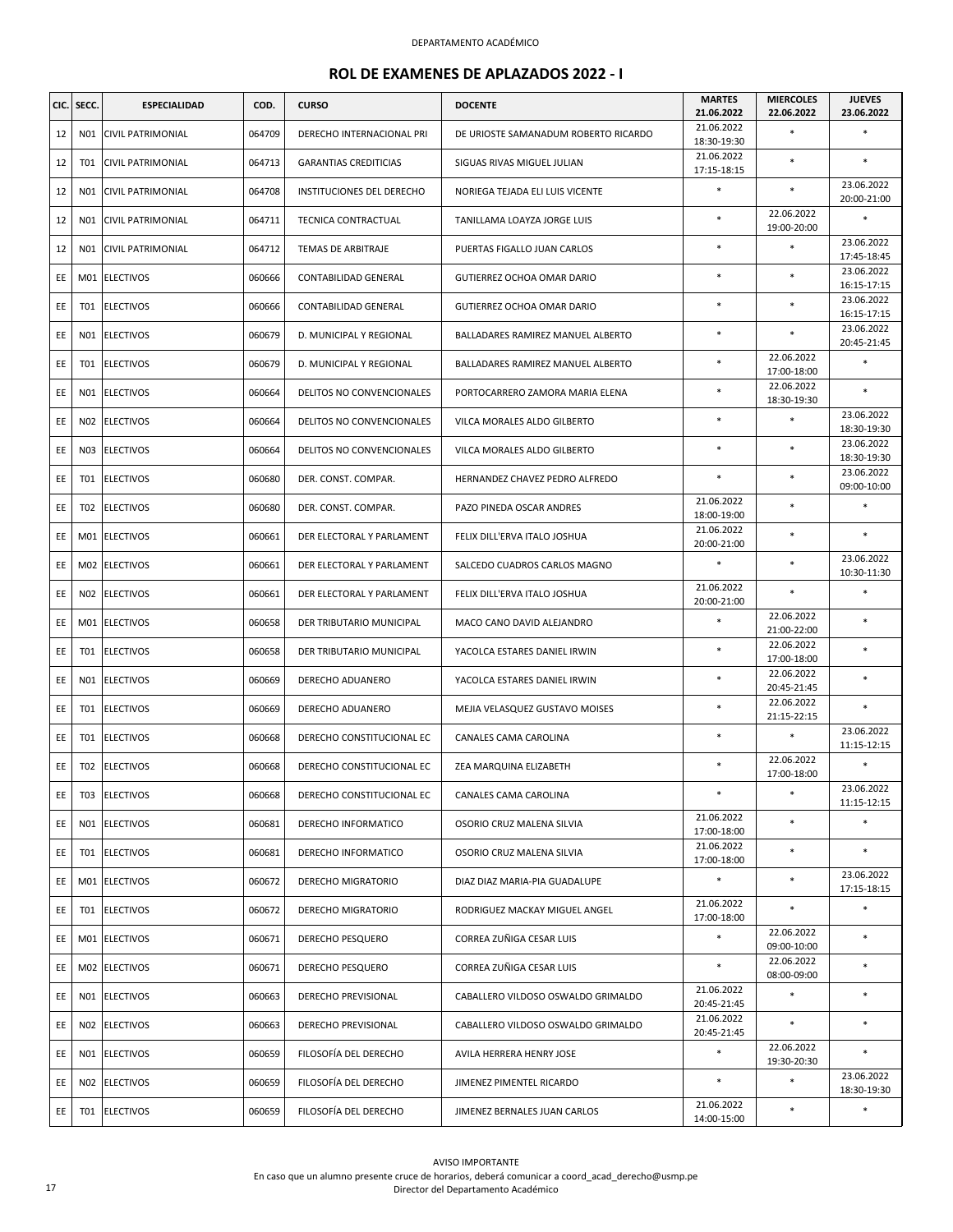| CIC. | SECC.           | <b>ESPECIALIDAD</b>      | COD.   | <b>CURSO</b>                     | <b>DOCENTE</b>                       | <b>MARTES</b><br>21.06.2022 | <b>MIERCOLES</b><br>22.06.2022 | <b>JUEVES</b><br>23.06.2022 |
|------|-----------------|--------------------------|--------|----------------------------------|--------------------------------------|-----------------------------|--------------------------------|-----------------------------|
| 12   | N01             | CIVIL PATRIMONIAL        | 064709 | DERECHO INTERNACIONAL PRI        | DE URIOSTE SAMANADUM ROBERTO RICARDO | 21.06.2022<br>18:30-19:30   | $\ast$                         | *                           |
| 12   | T01             | <b>CIVIL PATRIMONIAL</b> | 064713 | <b>GARANTIAS CREDITICIAS</b>     | SIGUAS RIVAS MIGUEL JULIAN           | 21.06.2022<br>17:15-18:15   | $\ast$                         | *                           |
| 12   | N01             | CIVIL PATRIMONIAL        | 064708 | <b>INSTITUCIONES DEL DERECHO</b> | NORIEGA TEJADA ELI LUIS VICENTE      | $\ast$                      | $\ast$                         | 23.06.2022<br>20:00-21:00   |
| 12   | N01             | CIVIL PATRIMONIAL        | 064711 | TECNICA CONTRACTUAL              | TANILLAMA LOAYZA JORGE LUIS          | $\ast$                      | 22.06.2022<br>19:00-20:00      | *                           |
| 12   | N01             | <b>CIVIL PATRIMONIAL</b> | 064712 | TEMAS DE ARBITRAJE               | PUERTAS FIGALLO JUAN CARLOS          | $\ast$                      | $\ast$                         | 23.06.2022<br>17:45-18:45   |
| EE   | M01             | <b>ELECTIVOS</b>         | 060666 | <b>CONTABILIDAD GENERAL</b>      | GUTIERREZ OCHOA OMAR DARIO           | $\ast$                      | $\ast$                         | 23.06.2022<br>16:15-17:15   |
| EE   | T01             | <b>ELECTIVOS</b>         | 060666 | CONTABILIDAD GENERAL             | GUTIERREZ OCHOA OMAR DARIO           | $\ast$                      | $\ast$                         | 23.06.2022<br>16:15-17:15   |
| EE   | N01             | <b>ELECTIVOS</b>         | 060679 | D. MUNICIPAL Y REGIONAL          | BALLADARES RAMIREZ MANUEL ALBERTO    | $\ast$                      |                                | 23.06.2022<br>20:45-21:45   |
| EE   | T01             | <b>ELECTIVOS</b>         | 060679 | D. MUNICIPAL Y REGIONAL          | BALLADARES RAMIREZ MANUEL ALBERTO    | $\ast$                      | 22.06.2022<br>17:00-18:00      | ×                           |
| EE   | N01             | <b>ELECTIVOS</b>         | 060664 | DELITOS NO CONVENCIONALES        | PORTOCARRERO ZAMORA MARIA ELENA      | $\ast$                      | 22.06.2022<br>18:30-19:30      | $\ast$                      |
| EE   | N <sub>02</sub> | <b>ELECTIVOS</b>         | 060664 | DELITOS NO CONVENCIONALES        | VILCA MORALES ALDO GILBERTO          | *                           | $\ast$                         | 23.06.2022<br>18:30-19:30   |
| EE   | N03             | <b>ELECTIVOS</b>         | 060664 | DELITOS NO CONVENCIONALES        | VILCA MORALES ALDO GILBERTO          | $\ast$                      | $\ast$                         | 23.06.2022<br>18:30-19:30   |
| EE   | T01             | <b>ELECTIVOS</b>         | 060680 | DER. CONST. COMPAR.              | HERNANDEZ CHAVEZ PEDRO ALFREDO       | $\ast$                      | $\ast$                         | 23.06.2022<br>09:00-10:00   |
| EE   | T <sub>02</sub> | <b>ELECTIVOS</b>         | 060680 | DER. CONST. COMPAR.              | PAZO PINEDA OSCAR ANDRES             | 21.06.2022<br>18:00-19:00   | $\ast$                         | *                           |
| EE   | M01             | <b>ELECTIVOS</b>         | 060661 | DER ELECTORAL Y PARLAMENT        | FELIX DILL'ERVA ITALO JOSHUA         | 21.06.2022<br>20:00-21:00   | $\ast$                         | $\ast$                      |
| EE   |                 | M02 ELECTIVOS            | 060661 | DER ELECTORAL Y PARLAMENT        | SALCEDO CUADROS CARLOS MAGNO         | $\ast$                      | $\ast$                         | 23.06.2022<br>10:30-11:30   |
| EE   | N02             | <b>ELECTIVOS</b>         | 060661 | DER ELECTORAL Y PARLAMENT        | FELIX DILL'ERVA ITALO JOSHUA         | 21.06.2022<br>20:00-21:00   | $\ast$                         | *                           |
| EE   | M01             | <b>ELECTIVOS</b>         | 060658 | DER TRIBUTARIO MUNICIPAL         | MACO CANO DAVID ALEJANDRO            | $\ast$                      | 22.06.2022<br>21:00-22:00      | *                           |
| EE   | T01             | <b>ELECTIVOS</b>         | 060658 | DER TRIBUTARIO MUNICIPAL         | YACOLCA ESTARES DANIEL IRWIN         | $\ast$                      | 22.06.2022<br>17:00-18:00      | $\ast$                      |
| EE   | N01             | <b>ELECTIVOS</b>         | 060669 | DERECHO ADUANERO                 | YACOLCA ESTARES DANIEL IRWIN         | $\ast$                      | 22.06.2022<br>20:45-21:45      | *                           |
| EE   | T01             | <b>ELECTIVOS</b>         | 060669 | DERECHO ADUANERO                 | MEJIA VELASQUEZ GUSTAVO MOISES       | $\ast$                      | 22.06.2022<br>21:15-22:15      | ×                           |
| EE   | <b>T01</b>      | <b>ELECTIVOS</b>         | 060668 | DERECHO CONSTITUCIONAL EC        | CANALES CAMA CAROLINA                | $\ast$                      | $\ast$                         | 23.06.2022<br>11:15-12:15   |
| EE   | T02             | <b>ELECTIVOS</b>         | 060668 | DERECHO CONSTITUCIONAL EC        | ZEA MARQUINA ELIZABETH               | $\ast$                      | 22.06.2022<br>17:00-18:00      | *                           |
| EE   | T03             | <b>ELECTIVOS</b>         | 060668 | DERECHO CONSTITUCIONAL EC        | CANALES CAMA CAROLINA                | $\ast$                      | $\ast$                         | 23.06.2022<br>11:15-12:15   |
| EE   | N01             | <b>ELECTIVOS</b>         | 060681 | DERECHO INFORMATICO              | OSORIO CRUZ MALENA SILVIA            | 21.06.2022<br>17:00-18:00   | $\ast$                         | ×                           |
| EE   | <b>T01</b>      | <b>ELECTIVOS</b>         | 060681 | DERECHO INFORMATICO              | OSORIO CRUZ MALENA SILVIA            | 21.06.2022<br>17:00-18:00   | $\ast$                         | $\ast$                      |
| EE   | M01             | <b>ELECTIVOS</b>         | 060672 | DERECHO MIGRATORIO               | DIAZ DIAZ MARIA-PIA GUADALUPE        | $\ast$                      | $\ast$                         | 23.06.2022<br>17:15-18:15   |
| EE   | T01             | <b>ELECTIVOS</b>         | 060672 | DERECHO MIGRATORIO               | RODRIGUEZ MACKAY MIGUEL ANGEL        | 21.06.2022<br>17:00-18:00   | $\ast$                         | $\ast$                      |
| EE.  | M01             | <b>ELECTIVOS</b>         | 060671 | <b>DERECHO PESQUERO</b>          | CORREA ZUÑIGA CESAR LUIS             | $\ast$                      | 22.06.2022<br>09:00-10:00      | *                           |
| EE.  | M02             | <b>ELECTIVOS</b>         | 060671 | DERECHO PESQUERO                 | CORREA ZUÑIGA CESAR LUIS             | $\ast$                      | 22.06.2022<br>08:00-09:00      | *                           |
| EE   | N01             | <b>ELECTIVOS</b>         | 060663 | DERECHO PREVISIONAL              | CABALLERO VILDOSO OSWALDO GRIMALDO   | 21.06.2022<br>20:45-21:45   | $\ast$                         | *                           |
| EE   | N02             | <b>ELECTIVOS</b>         | 060663 | DERECHO PREVISIONAL              | CABALLERO VILDOSO OSWALDO GRIMALDO   | 21.06.2022<br>20:45-21:45   | $\ast$                         | *                           |
| EE   | N01             | <b>ELECTIVOS</b>         | 060659 | FILOSOFÍA DEL DERECHO            | AVILA HERRERA HENRY JOSE             | $\ast$                      | 22.06.2022<br>19:30-20:30      | ×                           |
| EE   | N02             | <b>ELECTIVOS</b>         | 060659 | FILOSOFÍA DEL DERECHO            | JIMENEZ PIMENTEL RICARDO             | $\ast$                      | $\ast$                         | 23.06.2022<br>18:30-19:30   |
| EE   | T01             | <b>ELECTIVOS</b>         | 060659 | FILOSOFÍA DEL DERECHO            | JIMENEZ BERNALES JUAN CARLOS         | 21.06.2022<br>14:00-15:00   | $\ast$                         | $\ast$                      |